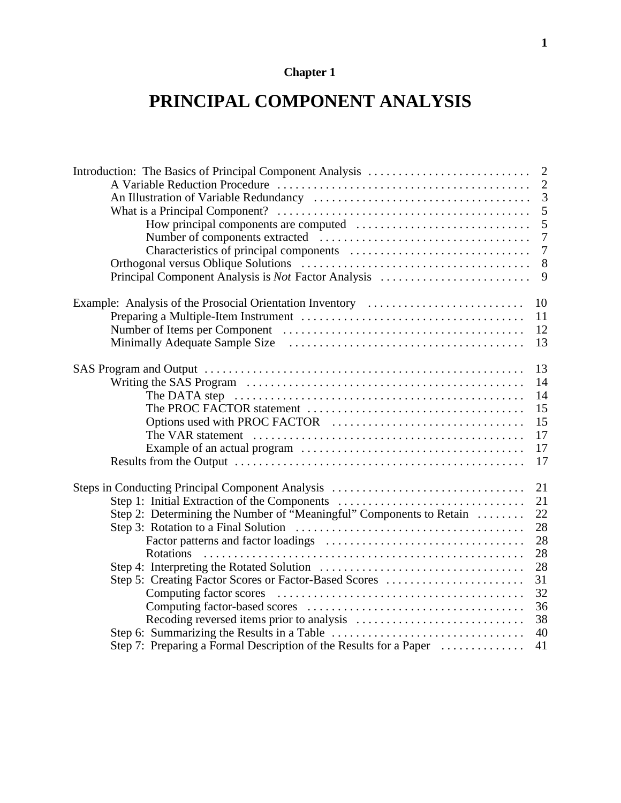## **Chapter 1**

# **PRINCIPAL COMPONENT ANALYSIS**

| Example: Analysis of the Prosocial Orientation Inventory            | 10 |
|---------------------------------------------------------------------|----|
|                                                                     | 11 |
|                                                                     | 12 |
|                                                                     | 13 |
|                                                                     | 13 |
|                                                                     | 14 |
|                                                                     | 14 |
|                                                                     | 15 |
|                                                                     | 15 |
|                                                                     | 17 |
|                                                                     | 17 |
|                                                                     | 17 |
| Steps in Conducting Principal Component Analysis                    | 21 |
| Step 1: Initial Extraction of the Components                        | 21 |
| Step 2: Determining the Number of "Meaningful" Components to Retain | 22 |
|                                                                     | 28 |
|                                                                     | 28 |
|                                                                     | 28 |
|                                                                     | 28 |
| Step 5: Creating Factor Scores or Factor-Based Scores               | 31 |
|                                                                     | 32 |
|                                                                     | 36 |
|                                                                     | 38 |
|                                                                     | 40 |
| Step 7: Preparing a Formal Description of the Results for a Paper   | 41 |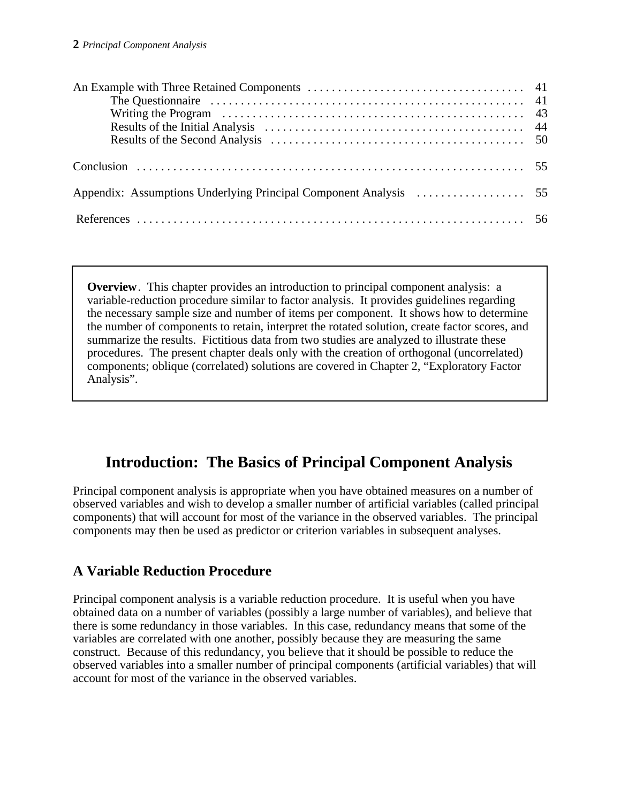**Overview**. This chapter provides an introduction to principal component analysis: a variable-reduction procedure similar to factor analysis. It provides guidelines regarding the necessary sample size and number of items per component. It shows how to determine the number of components to retain, interpret the rotated solution, create factor scores, and summarize the results. Fictitious data from two studies are analyzed to illustrate these procedures. The present chapter deals only with the creation of orthogonal (uncorrelated) components; oblique (correlated) solutions are covered in Chapter 2, "Exploratory Factor Analysis".

## **Introduction: The Basics of Principal Component Analysis**

Principal component analysis is appropriate when you have obtained measures on a number of observed variables and wish to develop a smaller number of artificial variables (called principal components) that will account for most of the variance in the observed variables. The principal components may then be used as predictor or criterion variables in subsequent analyses.

## **A Variable Reduction Procedure**

Principal component analysis is a variable reduction procedure. It is useful when you have obtained data on a number of variables (possibly a large number of variables), and believe that there is some redundancy in those variables. In this case, redundancy means that some of the variables are correlated with one another, possibly because they are measuring the same construct. Because of this redundancy, you believe that it should be possible to reduce the observed variables into a smaller number of principal components (artificial variables) that will account for most of the variance in the observed variables.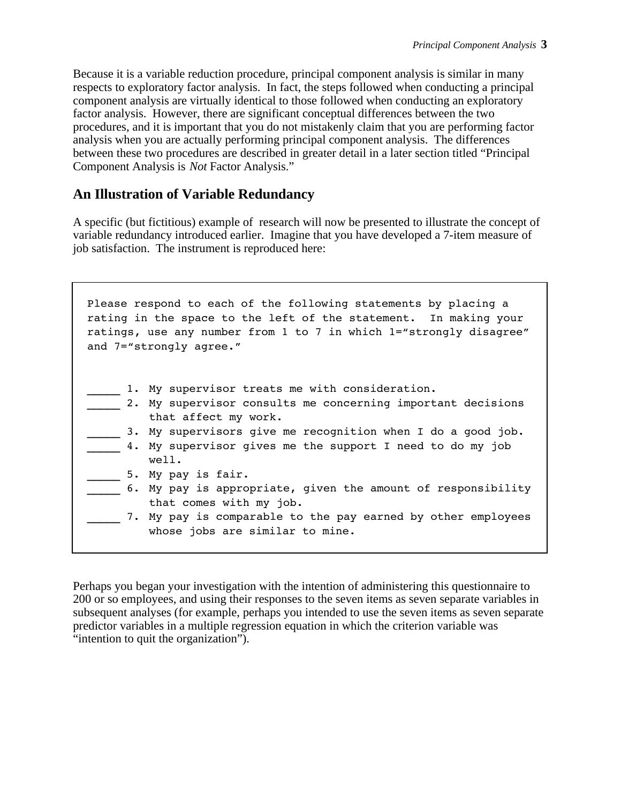Because it is a variable reduction procedure, principal component analysis is similar in many respects to exploratory factor analysis. In fact, the steps followed when conducting a principal component analysis are virtually identical to those followed when conducting an exploratory factor analysis. However, there are significant conceptual differences between the two procedures, and it is important that you do not mistakenly claim that you are performing factor analysis when you are actually performing principal component analysis. The differences between these two procedures are described in greater detail in a later section titled "Principal Component Analysis is *Not* Factor Analysis."

### **An Illustration of Variable Redundancy**

A specific (but fictitious) example of research will now be presented to illustrate the concept of variable redundancy introduced earlier. Imagine that you have developed a 7-item measure of job satisfaction. The instrument is reproduced here:

| Please respond to each of the following statements by placing a<br>rating in the space to the left of the statement. In making your<br>ratings, use any number from 1 to 7 in which 1="strongly disagree"<br>and 7="strongly agree."                                                             |
|--------------------------------------------------------------------------------------------------------------------------------------------------------------------------------------------------------------------------------------------------------------------------------------------------|
| 1. My supervisor treats me with consideration.<br>2. My supervisor consults me concerning important decisions<br>that affect my work.<br>3. My supervisors give me recognition when I do a good job.<br>4. My supervisor gives me the support I need to do my job<br>well.<br>5. My pay is fair. |
| 6. My pay is appropriate, given the amount of responsibility<br>that comes with my job.<br>7. My pay is comparable to the pay earned by other employees<br>whose jobs are similar to mine.                                                                                                       |

Perhaps you began your investigation with the intention of administering this questionnaire to 200 or so employees, and using their responses to the seven items as seven separate variables in subsequent analyses (for example, perhaps you intended to use the seven items as seven separate predictor variables in a multiple regression equation in which the criterion variable was "intention to quit the organization").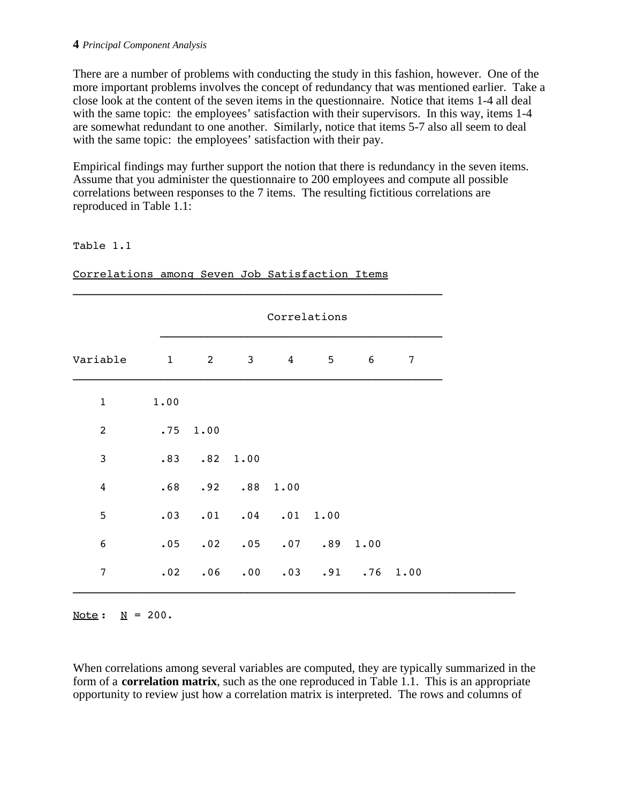#### **4** *Principal Component Analysis*

There are a number of problems with conducting the study in this fashion, however. One of the more important problems involves the concept of redundancy that was mentioned earlier. Take a close look at the content of the seven items in the questionnaire. Notice that items 1-4 all deal with the same topic: the employees' satisfaction with their supervisors. In this way, items 1-4 are somewhat redundant to one another. Similarly, notice that items 5-7 also all seem to deal with the same topic: the employees' satisfaction with their pay.

Empirical findings may further support the notion that there is redundancy in the seven items. Assume that you administer the questionnaire to 200 employees and compute all possible correlations between responses to the 7 items. The resulting fictitious correlations are reproduced in Table 1.1:

#### Table 1.1

Correlations among Seven Job Satisfaction Items

|                        | Correlations |                |                                |  |                                    |  |  |  |
|------------------------|--------------|----------------|--------------------------------|--|------------------------------------|--|--|--|
| Variable 1 2 3 4 5 6 7 |              |                |                                |  |                                    |  |  |  |
| $\mathbf{1}$           | 1.00         |                |                                |  |                                    |  |  |  |
| $\overline{2}$         | $.75$ 1.00   |                |                                |  |                                    |  |  |  |
| 3                      |              | $.83-.82 1.00$ |                                |  |                                    |  |  |  |
| $\overline{4}$         |              |                | $.68$ $.92$ $.88$ 1.00         |  |                                    |  |  |  |
| 5                      |              |                | $.03$ $.01$ $.04$ $.01$ $1.00$ |  |                                    |  |  |  |
| 6                      | .05          |                |                                |  | $.02$ $.05$ $.07$ $.89$ 1.00       |  |  |  |
| 7                      | .02          |                |                                |  | $.06$ $.00$ $.03$ $.91$ $.76$ 1.00 |  |  |  |

Note:  $N = 200$ .

When correlations among several variables are computed, they are typically summarized in the form of a **correlation matrix**, such as the one reproduced in Table 1.1. This is an appropriate opportunity to review just how a correlation matrix is interpreted. The rows and columns of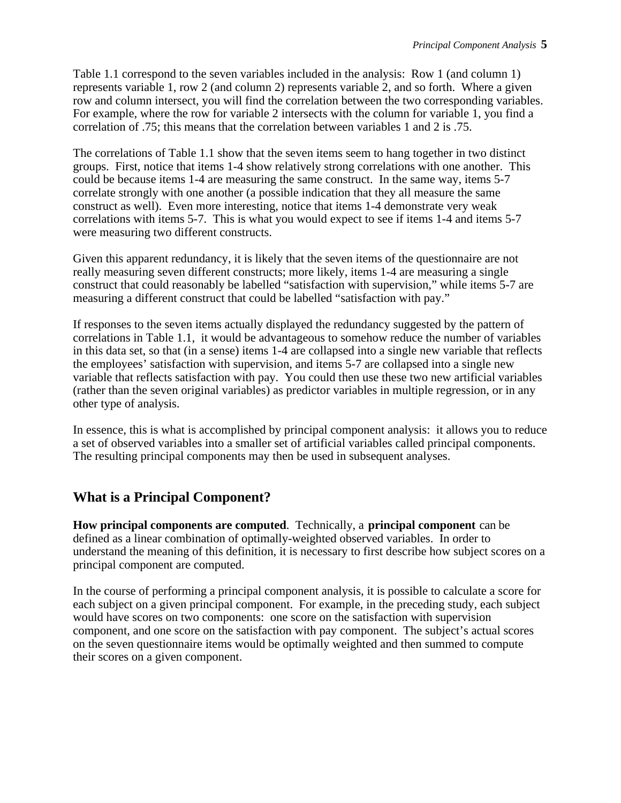Table 1.1 correspond to the seven variables included in the analysis: Row 1 (and column 1) represents variable 1, row 2 (and column 2) represents variable 2, and so forth. Where a given row and column intersect, you will find the correlation between the two corresponding variables. For example, where the row for variable 2 intersects with the column for variable 1, you find a correlation of .75; this means that the correlation between variables 1 and 2 is .75.

The correlations of Table 1.1 show that the seven items seem to hang together in two distinct groups. First, notice that items 1-4 show relatively strong correlations with one another. This could be because items 1-4 are measuring the same construct. In the same way, items 5-7 correlate strongly with one another (a possible indication that they all measure the same construct as well). Even more interesting, notice that items 1-4 demonstrate very weak correlations with items 5-7. This is what you would expect to see if items 1-4 and items 5-7 were measuring two different constructs.

Given this apparent redundancy, it is likely that the seven items of the questionnaire are not really measuring seven different constructs; more likely, items 1-4 are measuring a single construct that could reasonably be labelled "satisfaction with supervision," while items 5-7 are measuring a different construct that could be labelled "satisfaction with pay."

If responses to the seven items actually displayed the redundancy suggested by the pattern of correlations in Table 1.1, it would be advantageous to somehow reduce the number of variables in this data set, so that (in a sense) items 1-4 are collapsed into a single new variable that reflects the employees' satisfaction with supervision, and items 5-7 are collapsed into a single new variable that reflects satisfaction with pay. You could then use these two new artificial variables (rather than the seven original variables) as predictor variables in multiple regression, or in any other type of analysis.

In essence, this is what is accomplished by principal component analysis: it allows you to reduce a set of observed variables into a smaller set of artificial variables called principal components. The resulting principal components may then be used in subsequent analyses.

### **What is a Principal Component?**

**How principal components are computed**. Technically, a **principal component** can be defined as a linear combination of optimally-weighted observed variables. In order to understand the meaning of this definition, it is necessary to first describe how subject scores on a principal component are computed.

In the course of performing a principal component analysis, it is possible to calculate a score for each subject on a given principal component. For example, in the preceding study, each subject would have scores on two components: one score on the satisfaction with supervision component, and one score on the satisfaction with pay component. The subject's actual scores on the seven questionnaire items would be optimally weighted and then summed to compute their scores on a given component.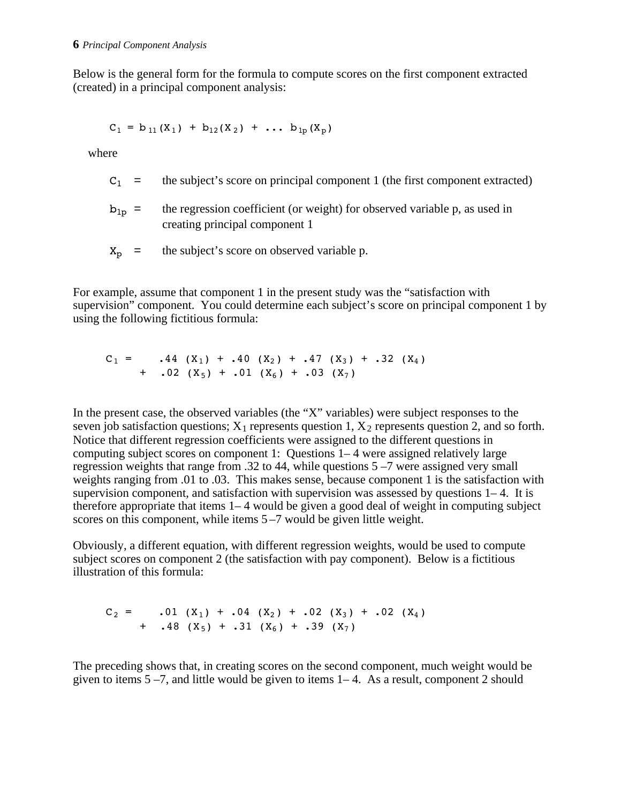Below is the general form for the formula to compute scores on the first component extracted (created) in a principal component analysis:

$$
C_1 = b_{11}(X_1) + b_{12}(X_2) + \ldots b_{1p}(X_p)
$$

where

- $C_1$  = the subject's score on principal component 1 (the first component extracted)
- $b_{1p}$  = the regression coefficient (or weight) for observed variable p, as used in creating principal component 1
- $X_p$  = the subject's score on observed variable p.

For example, assume that component 1 in the present study was the "satisfaction with supervision" component. You could determine each subject's score on principal component 1 by using the following fictitious formula:

 $C_1$  = .44 (X<sub>1</sub>) + .40 (X<sub>2</sub>) + .47 (X<sub>3</sub>) + .32 (X<sub>4</sub>)  $+$  .02 (X<sub>5</sub>) + .01 (X<sub>6</sub>) + .03 (X<sub>7</sub>)

In the present case, the observed variables (the "X" variables) were subject responses to the seven job satisfaction questions;  $X_1$  represents question 1,  $X_2$  represents question 2, and so forth. Notice that different regression coefficients were assigned to the different questions in computing subject scores on component 1: Questions 1– 4 were assigned relatively large regression weights that range from .32 to 44, while questions 5 –7 were assigned very small weights ranging from .01 to .03. This makes sense, because component 1 is the satisfaction with supervision component, and satisfaction with supervision was assessed by questions 1– 4. It is therefore appropriate that items 1– 4 would be given a good deal of weight in computing subject scores on this component, while items 5 –7 would be given little weight.

Obviously, a different equation, with different regression weights, would be used to compute subject scores on component 2 (the satisfaction with pay component). Below is a fictitious illustration of this formula:

 $C_2$  = .01 (X<sub>1</sub>) + .04 (X<sub>2</sub>) + .02 (X<sub>3</sub>) + .02 (X<sub>4</sub>)  $+$  .48 (X<sub>5</sub>) + .31 (X<sub>6</sub>) + .39 (X<sub>7</sub>)

The preceding shows that, in creating scores on the second component, much weight would be given to items  $5 - 7$ , and little would be given to items  $1 - 4$ . As a result, component 2 should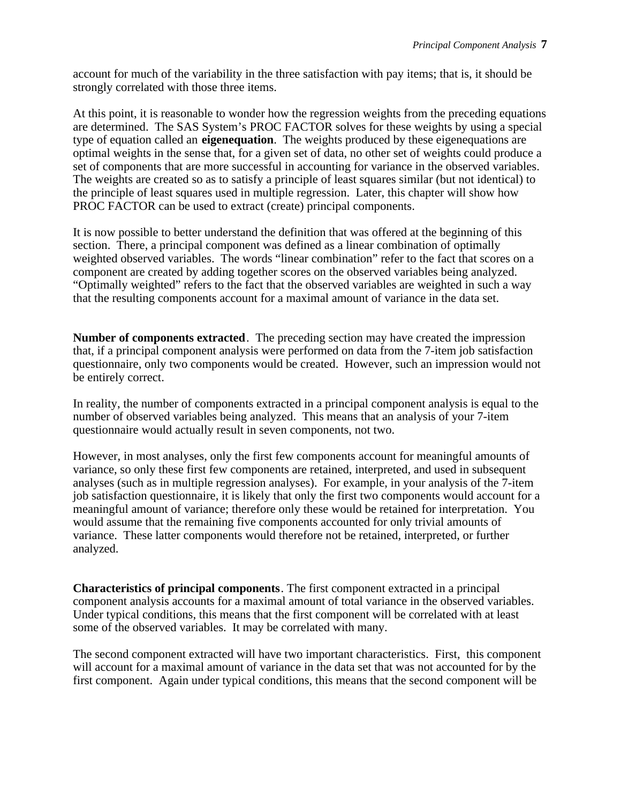account for much of the variability in the three satisfaction with pay items; that is, it should be strongly correlated with those three items.

At this point, it is reasonable to wonder how the regression weights from the preceding equations are determined. The SAS System's PROC FACTOR solves for these weights by using a special type of equation called an **eigenequation**. The weights produced by these eigenequations are optimal weights in the sense that, for a given set of data, no other set of weights could produce a set of components that are more successful in accounting for variance in the observed variables. The weights are created so as to satisfy a principle of least squares similar (but not identical) to the principle of least squares used in multiple regression. Later, this chapter will show how PROC FACTOR can be used to extract (create) principal components.

It is now possible to better understand the definition that was offered at the beginning of this section. There, a principal component was defined as a linear combination of optimally weighted observed variables. The words "linear combination" refer to the fact that scores on a component are created by adding together scores on the observed variables being analyzed. "Optimally weighted" refers to the fact that the observed variables are weighted in such a way that the resulting components account for a maximal amount of variance in the data set.

**Number of components extracted**. The preceding section may have created the impression that, if a principal component analysis were performed on data from the 7-item job satisfaction questionnaire, only two components would be created. However, such an impression would not be entirely correct.

In reality, the number of components extracted in a principal component analysis is equal to the number of observed variables being analyzed. This means that an analysis of your 7-item questionnaire would actually result in seven components, not two.

However, in most analyses, only the first few components account for meaningful amounts of variance, so only these first few components are retained, interpreted, and used in subsequent analyses (such as in multiple regression analyses). For example, in your analysis of the 7-item job satisfaction questionnaire, it is likely that only the first two components would account for a meaningful amount of variance; therefore only these would be retained for interpretation. You would assume that the remaining five components accounted for only trivial amounts of variance. These latter components would therefore not be retained, interpreted, or further analyzed.

**Characteristics of principal components**. The first component extracted in a principal component analysis accounts for a maximal amount of total variance in the observed variables. Under typical conditions, this means that the first component will be correlated with at least some of the observed variables. It may be correlated with many.

The second component extracted will have two important characteristics. First, this component will account for a maximal amount of variance in the data set that was not accounted for by the first component. Again under typical conditions, this means that the second component will be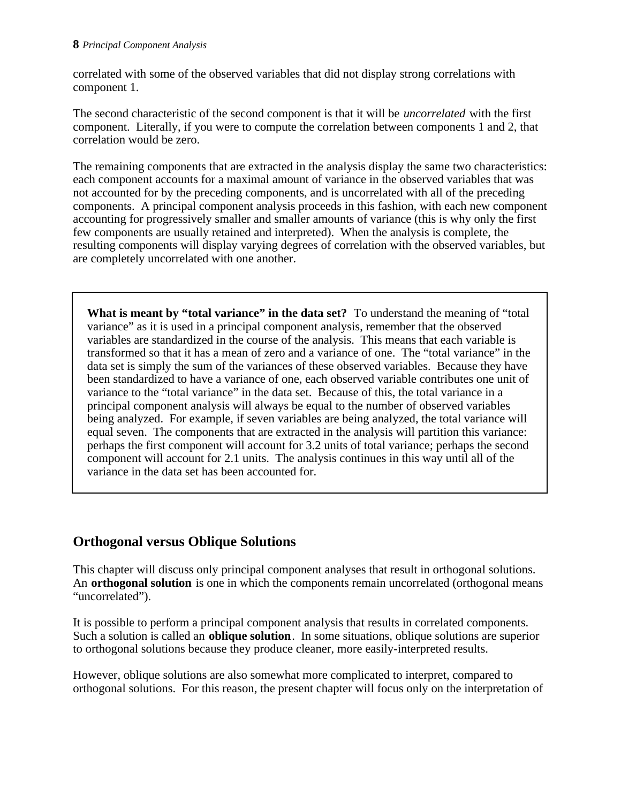#### **8** *Principal Component Analysis*

correlated with some of the observed variables that did not display strong correlations with component 1.

The second characteristic of the second component is that it will be *uncorrelated* with the first component. Literally, if you were to compute the correlation between components 1 and 2, that correlation would be zero.

The remaining components that are extracted in the analysis display the same two characteristics: each component accounts for a maximal amount of variance in the observed variables that was not accounted for by the preceding components, and is uncorrelated with all of the preceding components. A principal component analysis proceeds in this fashion, with each new component accounting for progressively smaller and smaller amounts of variance (this is why only the first few components are usually retained and interpreted). When the analysis is complete, the resulting components will display varying degrees of correlation with the observed variables, but are completely uncorrelated with one another.

What is meant by "total variance" in the data set? To understand the meaning of "total" variance" as it is used in a principal component analysis, remember that the observed variables are standardized in the course of the analysis. This means that each variable is transformed so that it has a mean of zero and a variance of one. The "total variance" in the data set is simply the sum of the variances of these observed variables. Because they have been standardized to have a variance of one, each observed variable contributes one unit of variance to the "total variance" in the data set. Because of this, the total variance in a principal component analysis will always be equal to the number of observed variables being analyzed. For example, if seven variables are being analyzed, the total variance will equal seven. The components that are extracted in the analysis will partition this variance: perhaps the first component will account for 3.2 units of total variance; perhaps the second component will account for 2.1 units. The analysis continues in this way until all of the variance in the data set has been accounted for.

### **Orthogonal versus Oblique Solutions**

This chapter will discuss only principal component analyses that result in orthogonal solutions. An **orthogonal solution** is one in which the components remain uncorrelated (orthogonal means "uncorrelated").

It is possible to perform a principal component analysis that results in correlated components. Such a solution is called an **oblique solution**. In some situations, oblique solutions are superior to orthogonal solutions because they produce cleaner, more easily-interpreted results.

However, oblique solutions are also somewhat more complicated to interpret, compared to orthogonal solutions. For this reason, the present chapter will focus only on the interpretation of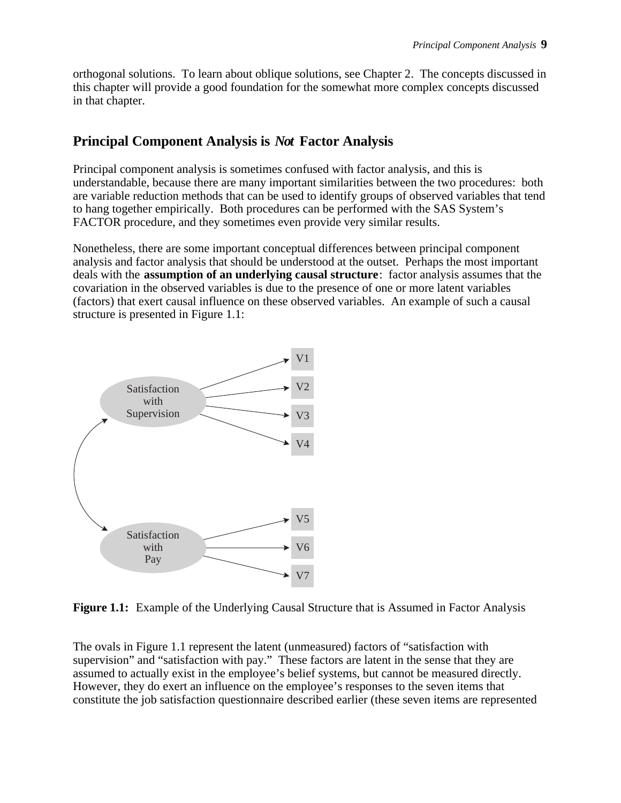orthogonal solutions. To learn about oblique solutions, see Chapter 2. The concepts discussed in this chapter will provide a good foundation for the somewhat more complex concepts discussed in that chapter.

### **Principal Component Analysis is** *Not* **Factor Analysis**

Principal component analysis is sometimes confused with factor analysis, and this is understandable, because there are many important similarities between the two procedures: both are variable reduction methods that can be used to identify groups of observed variables that tend to hang together empirically. Both procedures can be performed with the SAS System's FACTOR procedure, and they sometimes even provide very similar results.

Nonetheless, there are some important conceptual differences between principal component analysis and factor analysis that should be understood at the outset. Perhaps the most important deals with the **assumption of an underlying causal structure**: factor analysis assumes that the covariation in the observed variables is due to the presence of one or more latent variables (factors) that exert causal influence on these observed variables. An example of such a causal structure is presented in Figure 1.1:



Figure 1.1: Example of the Underlying Causal Structure that is Assumed in Factor Analysis

The ovals in Figure 1.1 represent the latent (unmeasured) factors of "satisfaction with supervision" and "satisfaction with pay." These factors are latent in the sense that they are assumed to actually exist in the employee's belief systems, but cannot be measured directly. However, they do exert an influence on the employee's responses to the seven items that constitute the job satisfaction questionnaire described earlier (these seven items are represented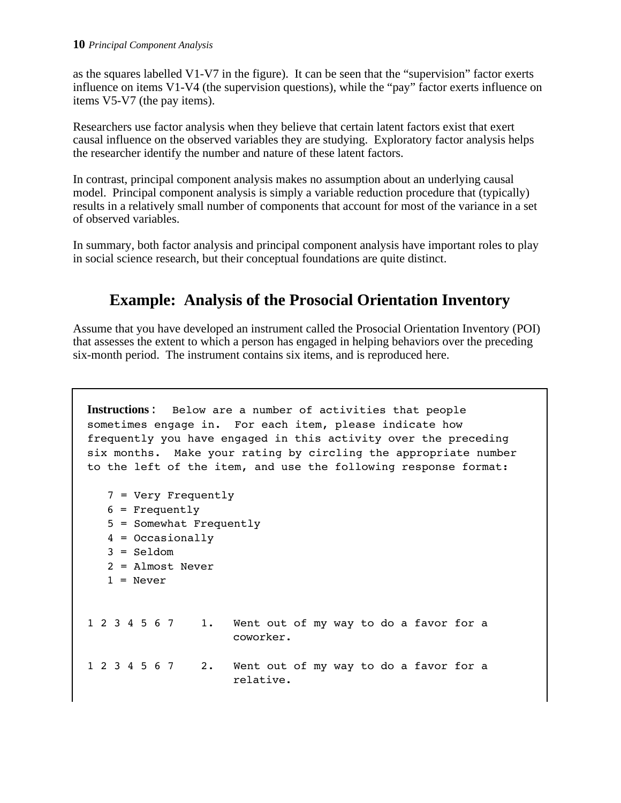#### **10** *Principal Component Analysis*

as the squares labelled V1-V7 in the figure). It can be seen that the "supervision" factor exerts influence on items V1-V4 (the supervision questions), while the "pay" factor exerts influence on items V5-V7 (the pay items).

Researchers use factor analysis when they believe that certain latent factors exist that exert causal influence on the observed variables they are studying. Exploratory factor analysis helps the researcher identify the number and nature of these latent factors.

In contrast, principal component analysis makes no assumption about an underlying causal model. Principal component analysis is simply a variable reduction procedure that (typically) results in a relatively small number of components that account for most of the variance in a set of observed variables.

In summary, both factor analysis and principal component analysis have important roles to play in social science research, but their conceptual foundations are quite distinct.

## **Example: Analysis of the Prosocial Orientation Inventory**

Assume that you have developed an instrument called the Prosocial Orientation Inventory (POI) that assesses the extent to which a person has engaged in helping behaviors over the preceding six-month period. The instrument contains six items, and is reproduced here.

```
Instructions: Below are a number of activities that people
sometimes engage in. For each item, please indicate how
frequently you have engaged in this activity over the preceding
six months. Make your rating by circling the appropriate number
to the left of the item, and use the following response format:
    7 = Very Frequently
    6 = Frequently
    5 = Somewhat Frequently
    4 = Occasionally
   3 = Seldom
   2 = Almost Never
  1 = Never
1 2 3 4 5 6 7 1. Went out of my way to do a favor for a
                     coworker.
1 2 3 4 5 6 7 2. Went out of my way to do a favor for a
                     relative.
```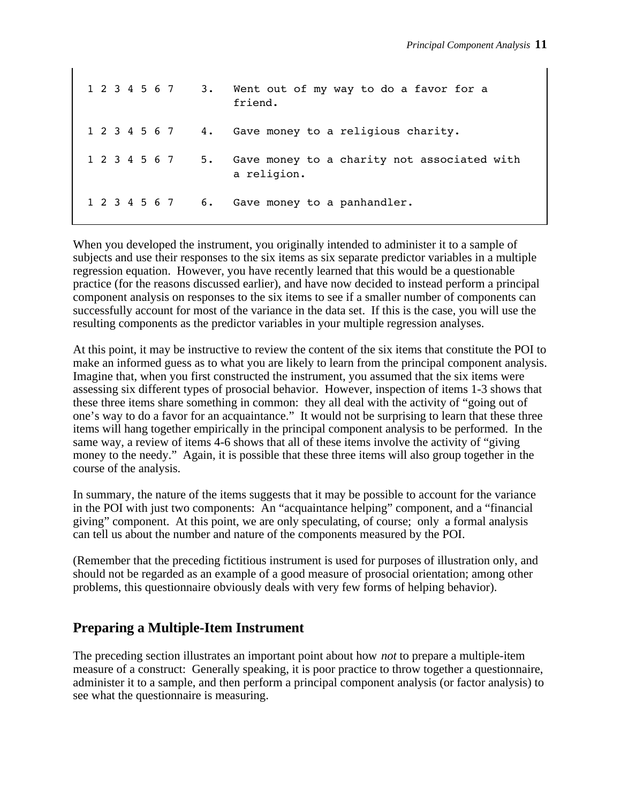```
1 2 3 4 5 6 7 3. Went out of my way to do a favor for a
                    friend.
1 2 3 4 5 6 7 4. Gave money to a religious charity.
1 2 3 4 5 6 7 5. Gave money to a charity not associated with
                    a religion.
1 2 3 4 5 6 7 6. Gave money to a panhandler.
```
When you developed the instrument, you originally intended to administer it to a sample of subjects and use their responses to the six items as six separate predictor variables in a multiple regression equation. However, you have recently learned that this would be a questionable practice (for the reasons discussed earlier), and have now decided to instead perform a principal component analysis on responses to the six items to see if a smaller number of components can successfully account for most of the variance in the data set. If this is the case, you will use the resulting components as the predictor variables in your multiple regression analyses.

At this point, it may be instructive to review the content of the six items that constitute the POI to make an informed guess as to what you are likely to learn from the principal component analysis. Imagine that, when you first constructed the instrument, you assumed that the six items were assessing six different types of prosocial behavior. However, inspection of items 1-3 shows that these three items share something in common: they all deal with the activity of "going out of one's way to do a favor for an acquaintance." It would not be surprising to learn that these three items will hang together empirically in the principal component analysis to be performed. In the same way, a review of items 4-6 shows that all of these items involve the activity of "giving money to the needy." Again, it is possible that these three items will also group together in the course of the analysis.

In summary, the nature of the items suggests that it may be possible to account for the variance in the POI with just two components: An "acquaintance helping" component, and a "financial giving" component. At this point, we are only speculating, of course; only a formal analysis can tell us about the number and nature of the components measured by the POI.

(Remember that the preceding fictitious instrument is used for purposes of illustration only, and should not be regarded as an example of a good measure of prosocial orientation; among other problems, this questionnaire obviously deals with very few forms of helping behavior).

### **Preparing a Multiple-Item Instrument**

The preceding section illustrates an important point about how *not* to prepare a multiple-item measure of a construct: Generally speaking, it is poor practice to throw together a questionnaire, administer it to a sample, and then perform a principal component analysis (or factor analysis) to see what the questionnaire is measuring.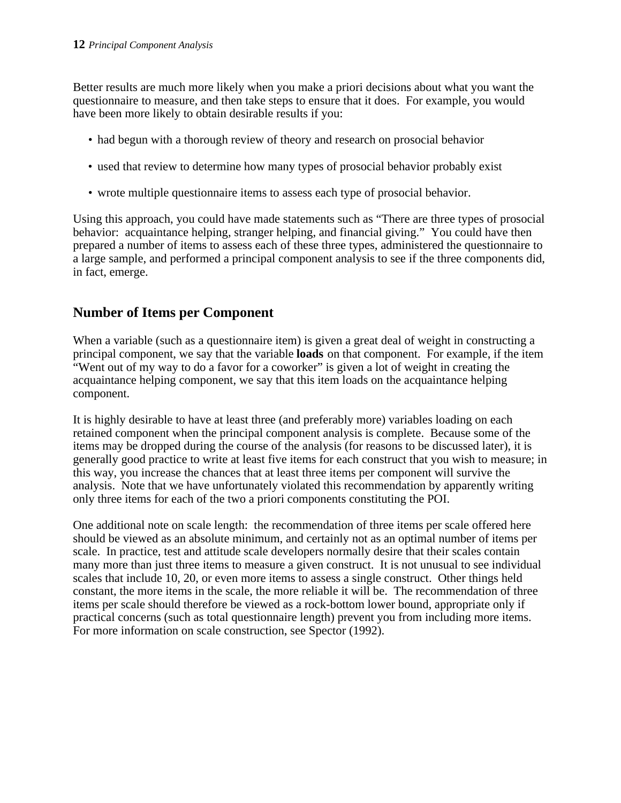Better results are much more likely when you make a priori decisions about what you want the questionnaire to measure, and then take steps to ensure that it does. For example, you would have been more likely to obtain desirable results if you:

- had begun with a thorough review of theory and research on prosocial behavior
- used that review to determine how many types of prosocial behavior probably exist
- wrote multiple questionnaire items to assess each type of prosocial behavior.

Using this approach, you could have made statements such as "There are three types of prosocial behavior: acquaintance helping, stranger helping, and financial giving." You could have then prepared a number of items to assess each of these three types, administered the questionnaire to a large sample, and performed a principal component analysis to see if the three components did, in fact, emerge.

### **Number of Items per Component**

When a variable (such as a questionnaire item) is given a great deal of weight in constructing a principal component, we say that the variable **loads** on that component. For example, if the item "Went out of my way to do a favor for a coworker" is given a lot of weight in creating the acquaintance helping component, we say that this item loads on the acquaintance helping component.

It is highly desirable to have at least three (and preferably more) variables loading on each retained component when the principal component analysis is complete. Because some of the items may be dropped during the course of the analysis (for reasons to be discussed later), it is generally good practice to write at least five items for each construct that you wish to measure; in this way, you increase the chances that at least three items per component will survive the analysis. Note that we have unfortunately violated this recommendation by apparently writing only three items for each of the two a priori components constituting the POI.

One additional note on scale length: the recommendation of three items per scale offered here should be viewed as an absolute minimum, and certainly not as an optimal number of items per scale. In practice, test and attitude scale developers normally desire that their scales contain many more than just three items to measure a given construct. It is not unusual to see individual scales that include 10, 20, or even more items to assess a single construct. Other things held constant, the more items in the scale, the more reliable it will be. The recommendation of three items per scale should therefore be viewed as a rock-bottom lower bound, appropriate only if practical concerns (such as total questionnaire length) prevent you from including more items. For more information on scale construction, see Spector (1992).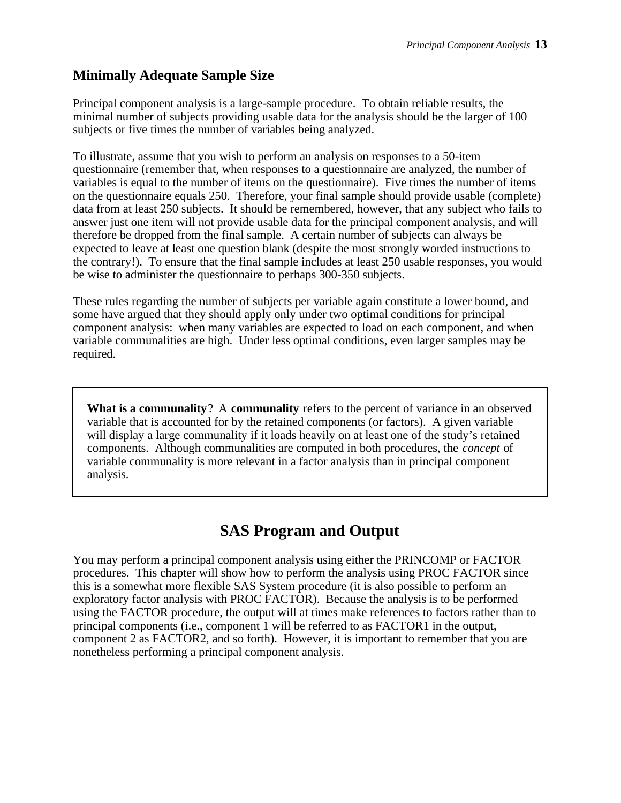### **Minimally Adequate Sample Size**

Principal component analysis is a large-sample procedure. To obtain reliable results, the minimal number of subjects providing usable data for the analysis should be the larger of 100 subjects or five times the number of variables being analyzed.

To illustrate, assume that you wish to perform an analysis on responses to a 50-item questionnaire (remember that, when responses to a questionnaire are analyzed, the number of variables is equal to the number of items on the questionnaire). Five times the number of items on the questionnaire equals 250. Therefore, your final sample should provide usable (complete) data from at least 250 subjects. It should be remembered, however, that any subject who fails to answer just one item will not provide usable data for the principal component analysis, and will therefore be dropped from the final sample. A certain number of subjects can always be expected to leave at least one question blank (despite the most strongly worded instructions to the contrary!). To ensure that the final sample includes at least 250 usable responses, you would be wise to administer the questionnaire to perhaps 300-350 subjects.

These rules regarding the number of subjects per variable again constitute a lower bound, and some have argued that they should apply only under two optimal conditions for principal component analysis: when many variables are expected to load on each component, and when variable communalities are high. Under less optimal conditions, even larger samples may be required.

**What is a communality**? A **communality** refers to the percent of variance in an observed variable that is accounted for by the retained components (or factors). A given variable will display a large communality if it loads heavily on at least one of the study's retained components. Although communalities are computed in both procedures, the *concept* of variable communality is more relevant in a factor analysis than in principal component analysis.

## **SAS Program and Output**

You may perform a principal component analysis using either the PRINCOMP or FACTOR procedures. This chapter will show how to perform the analysis using PROC FACTOR since this is a somewhat more flexible SAS System procedure (it is also possible to perform an exploratory factor analysis with PROC FACTOR). Because the analysis is to be performed using the FACTOR procedure, the output will at times make references to factors rather than to principal components (i.e., component 1 will be referred to as FACTOR1 in the output, component 2 as FACTOR2, and so forth). However, it is important to remember that you are nonetheless performing a principal component analysis.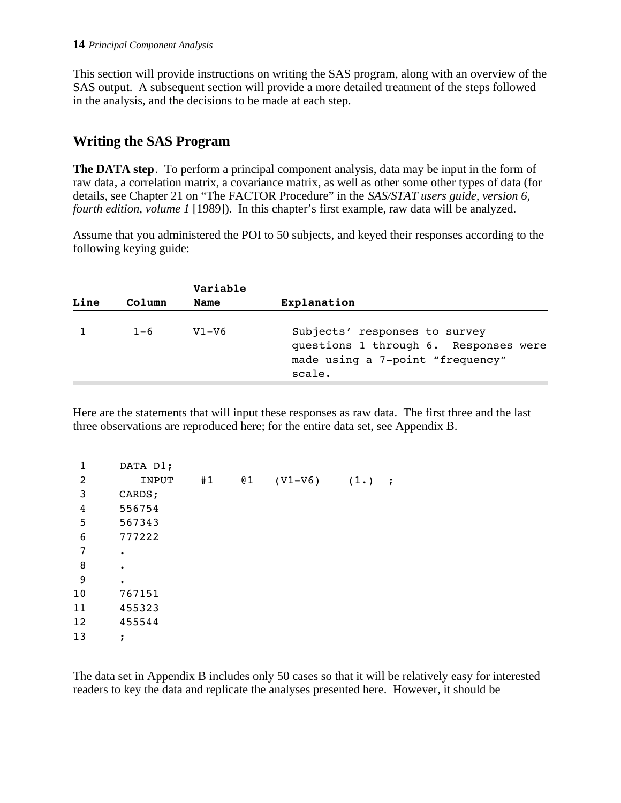This section will provide instructions on writing the SAS program, along with an overview of the SAS output. A subsequent section will provide a more detailed treatment of the steps followed in the analysis, and the decisions to be made at each step.

### **Writing the SAS Program**

**The DATA step**. To perform a principal component analysis, data may be input in the form of raw data, a correlation matrix, a covariance matrix, as well as other some other types of data (for details, see Chapter 21 on "The FACTOR Procedure" in the *SAS/STAT users guide, version 6, fourth edition, volume 1* [1989]). In this chapter's first example, raw data will be analyzed.

Assume that you administered the POI to 50 subjects, and keyed their responses according to the following keying guide:

|      |         | Variable |                                                                                                                      |
|------|---------|----------|----------------------------------------------------------------------------------------------------------------------|
| Line | Column  | Name     | Explanation                                                                                                          |
|      | $1 - 6$ | $V1-V6$  | Subjects' responses to survey<br>questions 1 through 6. Responses were<br>made using a 7-point "frequency"<br>scale. |
|      |         |          |                                                                                                                      |

Here are the statements that will input these responses as raw data. The first three and the last three observations are reproduced here; for the entire data set, see Appendix B.

| 1  | DATA D1;     |    |    |           |      |                      |
|----|--------------|----|----|-----------|------|----------------------|
| 2  | <b>INPUT</b> | #1 | @1 | $(V1-V6)$ | (1.) | $\ddot{\phantom{0}}$ |
| 3  | CARDS;       |    |    |           |      |                      |
| 4  | 556754       |    |    |           |      |                      |
| 5  | 567343       |    |    |           |      |                      |
| 6  | 777222       |    |    |           |      |                      |
| 7  | $\bullet$    |    |    |           |      |                      |
| 8  |              |    |    |           |      |                      |
| 9  | $\bullet$    |    |    |           |      |                      |
| 10 | 767151       |    |    |           |      |                      |
| 11 | 455323       |    |    |           |      |                      |
| 12 | 455544       |    |    |           |      |                      |
| 13 | ٠<br>ï       |    |    |           |      |                      |
|    |              |    |    |           |      |                      |

The data set in Appendix B includes only 50 cases so that it will be relatively easy for interested readers to key the data and replicate the analyses presented here. However, it should be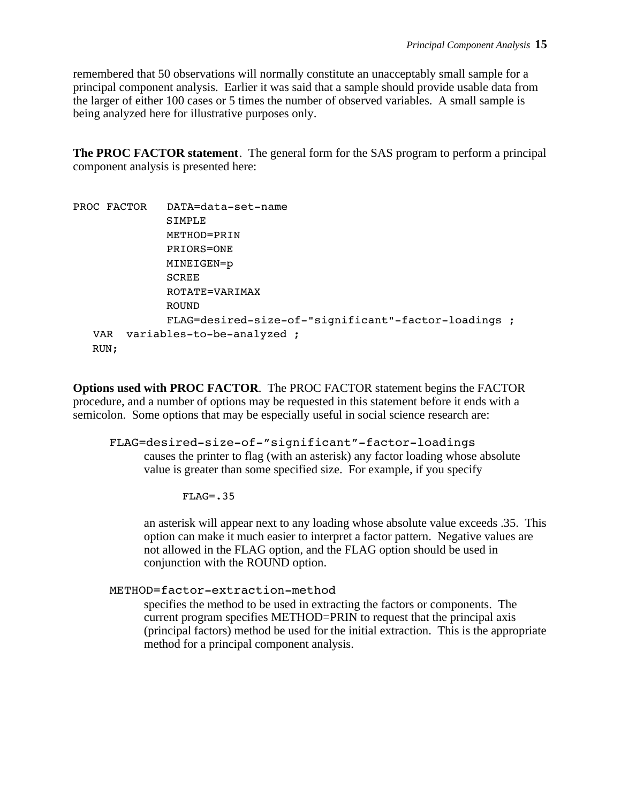remembered that 50 observations will normally constitute an unacceptably small sample for a principal component analysis. Earlier it was said that a sample should provide usable data from the larger of either 100 cases or 5 times the number of observed variables. A small sample is being analyzed here for illustrative purposes only.

**The PROC FACTOR statement**. The general form for the SAS program to perform a principal component analysis is presented here:

| PROC FACTOR | DATA=data-set-name                                   |  |
|-------------|------------------------------------------------------|--|
|             | <b>SIMPLE</b>                                        |  |
|             | METHOD=PRIN                                          |  |
|             | PRIORS=ONE                                           |  |
|             | MINEIGEN=p                                           |  |
|             | <b>SCREE</b>                                         |  |
|             | ROTATE=VARIMAX                                       |  |
|             | ROUND                                                |  |
|             | FLAG=desired-size-of-"significant"-factor-loadings ; |  |
| VAR         | variables-to-be-analyzed ;                           |  |
| RUN;        |                                                      |  |

**Options used with PROC FACTOR**. The PROC FACTOR statement begins the FACTOR procedure, and a number of options may be requested in this statement before it ends with a semicolon. Some options that may be especially useful in social science research are:

 FLAG=desired-size-of-"significant"-factor-loadings causes the printer to flag (with an asterisk) any factor loading whose absolute value is greater than some specified size. For example, if you specify

 $FLAG = .35$ 

an asterisk will appear next to any loading whose absolute value exceeds .35. This option can make it much easier to interpret a factor pattern. Negative values are not allowed in the FLAG option, and the FLAG option should be used in conjunction with the ROUND option.

METHOD=factor-extraction-method

 specifies the method to be used in extracting the factors or components. The current program specifies METHOD=PRIN to request that the principal axis (principal factors) method be used for the initial extraction. This is the appropriate method for a principal component analysis.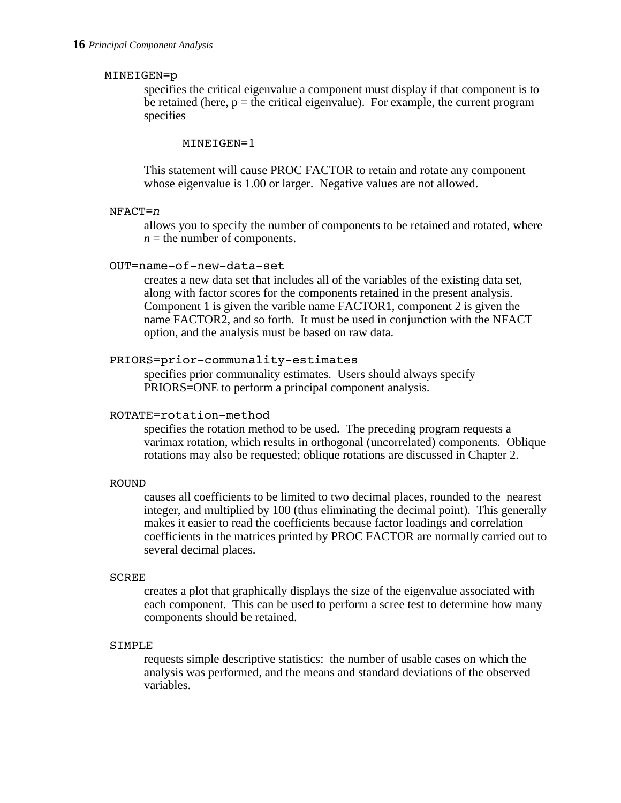#### MINEIGEN=p

 specifies the critical eigenvalue a component must display if that component is to be retained (here,  $p =$  the critical eigenvalue). For example, the current program specifies

MINEIGEN=1

 This statement will cause PROC FACTOR to retain and rotate any component whose eigenvalue is 1.00 or larger. Negative values are not allowed.

#### NFACT*=n*

 allows you to specify the number of components to be retained and rotated, where  $n =$  the number of components.

#### OUT=name-of-new-data-set

 creates a new data set that includes all of the variables of the existing data set, along with factor scores for the components retained in the present analysis. Component 1 is given the varible name FACTOR1, component 2 is given the name FACTOR2, and so forth. It must be used in conjunction with the NFACT option, and the analysis must be based on raw data.

#### PRIORS=prior-communality-estimates

 specifies prior communality estimates. Users should always specify PRIORS=ONE to perform a principal component analysis.

#### ROTATE=rotation-method

 specifies the rotation method to be used. The preceding program requests a varimax rotation, which results in orthogonal (uncorrelated) components. Oblique rotations may also be requested; oblique rotations are discussed in Chapter 2.

#### ROUND

 causes all coefficients to be limited to two decimal places, rounded to the nearest integer, and multiplied by 100 (thus eliminating the decimal point). This generally makes it easier to read the coefficients because factor loadings and correlation coefficients in the matrices printed by PROC FACTOR are normally carried out to several decimal places.

#### SCREE

 creates a plot that graphically displays the size of the eigenvalue associated with each component. This can be used to perform a scree test to determine how many components should be retained.

#### SIMPLE

 requests simple descriptive statistics: the number of usable cases on which the analysis was performed, and the means and standard deviations of the observed variables.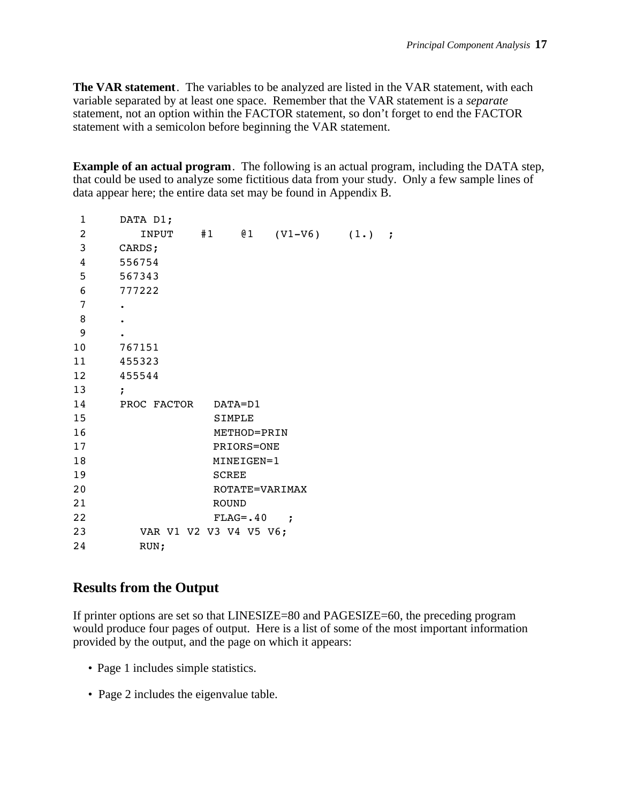**The VAR statement**. The variables to be analyzed are listed in the VAR statement, with each variable separated by at least one space. Remember that the VAR statement is a *separate* statement, not an option within the FACTOR statement, so don't forget to end the FACTOR statement with a semicolon before beginning the VAR statement.

**Example of an actual program**. The following is an actual program, including the DATA step, that could be used to analyze some fictitious data from your study. Only a few sample lines of data appear here; the entire data set may be found in Appendix B.

| DATA D1;   |  |                                                                                            |                                                                                     |              |                      |
|------------|--|--------------------------------------------------------------------------------------------|-------------------------------------------------------------------------------------|--------------|----------------------|
| INPUT      |  |                                                                                            |                                                                                     |              | $\ddot{\phantom{1}}$ |
| CARDS;     |  |                                                                                            |                                                                                     |              |                      |
| 556754     |  |                                                                                            |                                                                                     |              |                      |
| 567343     |  |                                                                                            |                                                                                     |              |                      |
| 777222     |  |                                                                                            |                                                                                     |              |                      |
|            |  |                                                                                            |                                                                                     |              |                      |
|            |  |                                                                                            |                                                                                     |              |                      |
|            |  |                                                                                            |                                                                                     |              |                      |
| 767151     |  |                                                                                            |                                                                                     |              |                      |
| 455323     |  |                                                                                            |                                                                                     |              |                      |
| 455544     |  |                                                                                            |                                                                                     |              |                      |
| $\ddot{ }$ |  |                                                                                            |                                                                                     |              |                      |
|            |  |                                                                                            |                                                                                     |              |                      |
|            |  |                                                                                            |                                                                                     |              |                      |
|            |  |                                                                                            |                                                                                     |              |                      |
|            |  |                                                                                            |                                                                                     |              |                      |
|            |  |                                                                                            |                                                                                     |              |                      |
|            |  |                                                                                            |                                                                                     |              |                      |
|            |  |                                                                                            |                                                                                     |              |                      |
|            |  |                                                                                            |                                                                                     |              |                      |
|            |  |                                                                                            |                                                                                     |              |                      |
|            |  |                                                                                            |                                                                                     |              |                      |
| RUN;       |  |                                                                                            |                                                                                     |              |                      |
|            |  | #1<br>PROC FACTOR DATA=D1<br><b>SIMPLE</b><br><b>SCREE</b><br><b>ROUND</b><br>$FLAG = .40$ | METHOD=PRIN<br>PRIORS=ONE<br>MINEIGEN=1<br>ROTATE=VARIMAX<br>VAR V1 V2 V3 V4 V5 V6; | $@1$ (V1-V6) | (1.)                 |

### **Results from the Output**

If printer options are set so that LINESIZE=80 and PAGESIZE=60, the preceding program would produce four pages of output. Here is a list of some of the most important information provided by the output, and the page on which it appears:

- Page 1 includes simple statistics.
- Page 2 includes the eigenvalue table.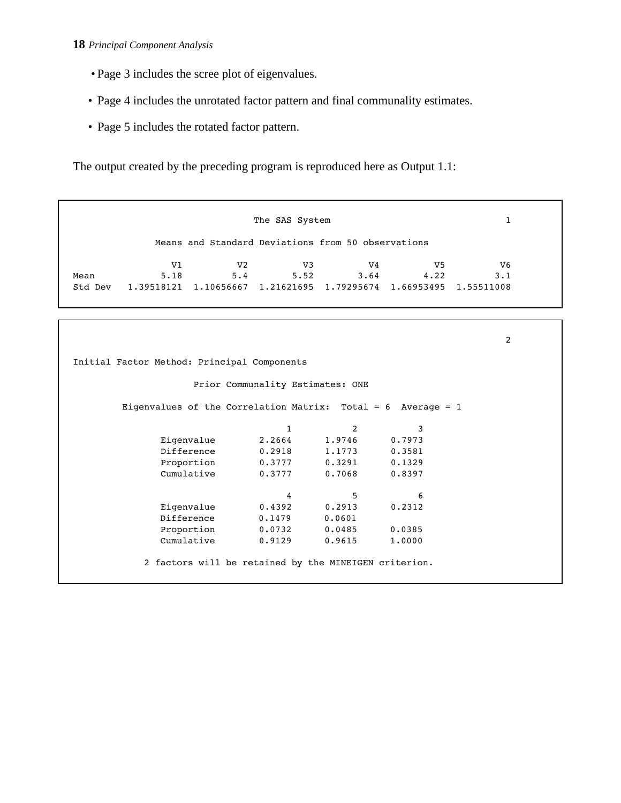- Page 3 includes the scree plot of eigenvalues.
- Page 4 includes the unrotated factor pattern and final communality estimates.
- Page 5 includes the rotated factor pattern.

The output created by the preceding program is reproduced here as Output 1.1:

|         |            | Means and Standard Deviations from 50 observations |            |            |            |            |  |
|---------|------------|----------------------------------------------------|------------|------------|------------|------------|--|
|         | V1         | V2                                                 | V3         | V4         | V5         | V6         |  |
| Mean    | 5.18       | 5.4                                                | 5.52       | 3.64       | 4.22       | 3.1        |  |
| Std Dev | 1.39518121 | 1.10656667                                         | 1,21621695 | 1,79295674 | 1.66953495 | 1.55511008 |  |

```
 2
Initial Factor Method: Principal Components
               Prior Communality Estimates: ONE 
     Eigenvalues of the Correlation Matrix: Total = 6 Average = 1
1 2 3
          Eigenvalue 2.2664 1.9746 0.7973<br>Difference 0.2918 1.1773 0.3581
          Difference
          Proportion 0.3777 0.3291 0.1329
           Cumulative 0.3777 0.7068 0.8397
 4 5 6
           Eigenvalue 0.4392 0.2913 0.2312
          Difference
           Proportion 0.0732 0.0485 0.0385
           Cumulative 0.9129 0.9615 1.0000
         2 factors will be retained by the MINEIGEN criterion.
```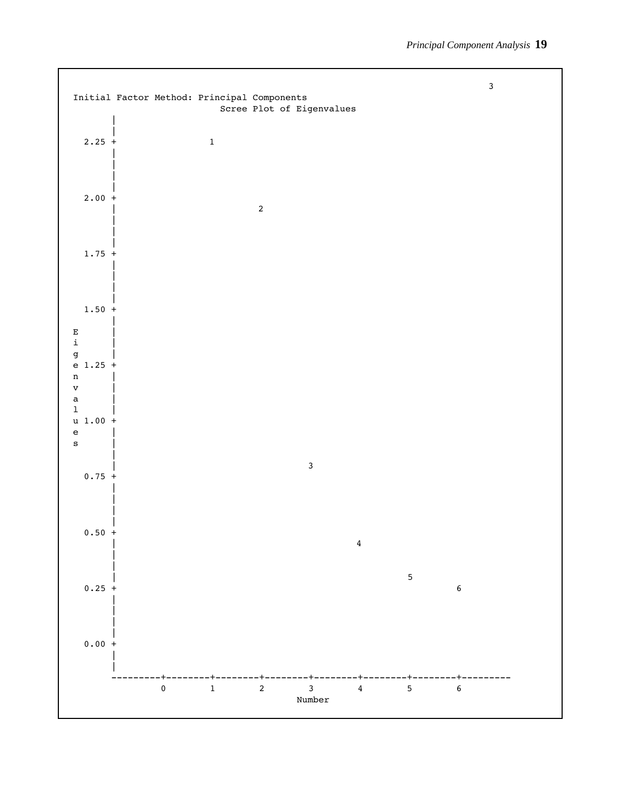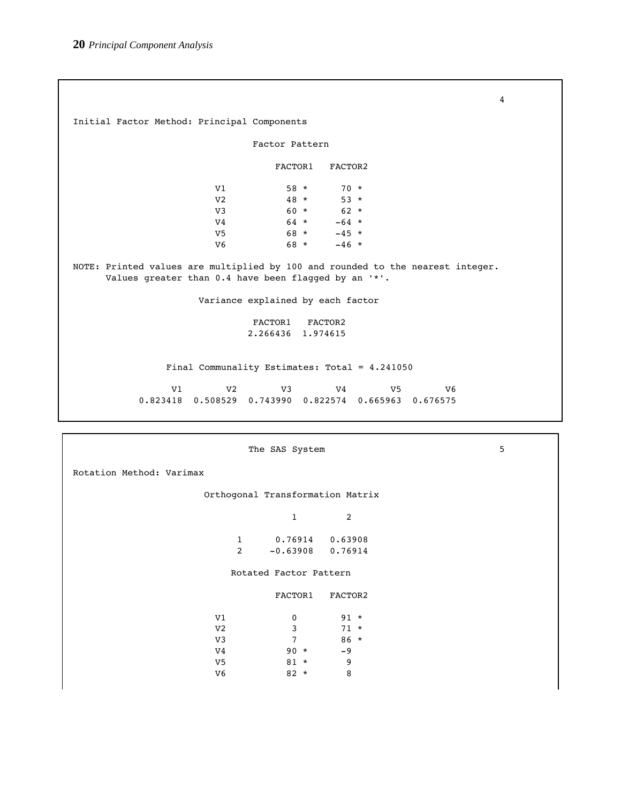|                                                                                                                                        |                                      |                                                 | 4  |
|----------------------------------------------------------------------------------------------------------------------------------------|--------------------------------------|-------------------------------------------------|----|
| Initial Factor Method: Principal Components                                                                                            |                                      |                                                 |    |
|                                                                                                                                        | Factor Pattern                       |                                                 |    |
|                                                                                                                                        | FACTOR1                              | FACTOR2                                         |    |
| V1                                                                                                                                     |                                      | 58 * 70 *                                       |    |
| V <sub>2</sub>                                                                                                                         | $48 * 53 *$                          |                                                 |    |
| V3                                                                                                                                     | $60 * 62 *$                          |                                                 |    |
| V4                                                                                                                                     | $64 * -64 *$                         |                                                 |    |
| V5                                                                                                                                     | $68 * -45 *$                         |                                                 |    |
| V6                                                                                                                                     | $68 * -46 *$                         |                                                 |    |
| NOTE: Printed values are multiplied by 100 and rounded to the nearest integer.<br>Values greater than 0.4 have been flagged by an '*'. |                                      |                                                 |    |
|                                                                                                                                        | Variance explained by each factor    |                                                 |    |
|                                                                                                                                        | FACTOR1 FACTOR2<br>2.266436 1.974615 |                                                 |    |
|                                                                                                                                        |                                      | Final Communality Estimates: Total = $4.241050$ |    |
| V1<br>V <sub>2</sub>                                                                                                                   | V3                                   | V4<br>V5                                        | V6 |
| $0.823418$ 0.508529 0.743990 0.822574 0.665963 0.676575                                                                                |                                      |                                                 |    |

| The SAS System           |                |                                  |  |         |  |  | 5 |
|--------------------------|----------------|----------------------------------|--|---------|--|--|---|
| Rotation Method: Varimax |                |                                  |  |         |  |  |   |
|                          |                | Orthogonal Transformation Matrix |  |         |  |  |   |
|                          |                | 1                                |  | 2       |  |  |   |
|                          | $\mathbf{1}$   | $0.76914$ $0.63908$              |  |         |  |  |   |
|                          | $\overline{2}$ | $-0.63908$ 0.76914               |  |         |  |  |   |
|                          |                | Rotated Factor Pattern           |  |         |  |  |   |
|                          |                | FACTOR1                          |  | FACTOR2 |  |  |   |
| V1                       |                | 0                                |  | $91 *$  |  |  |   |
| V <sub>2</sub>           |                | 3                                |  | $71 *$  |  |  |   |
| V <sub>3</sub>           |                | $\overline{7}$                   |  | $86 *$  |  |  |   |
| V4                       |                | $90 *$                           |  | -9      |  |  |   |
| V5                       |                | $81 *$                           |  | 9       |  |  |   |
| V6                       |                | $82 *$                           |  | 8       |  |  |   |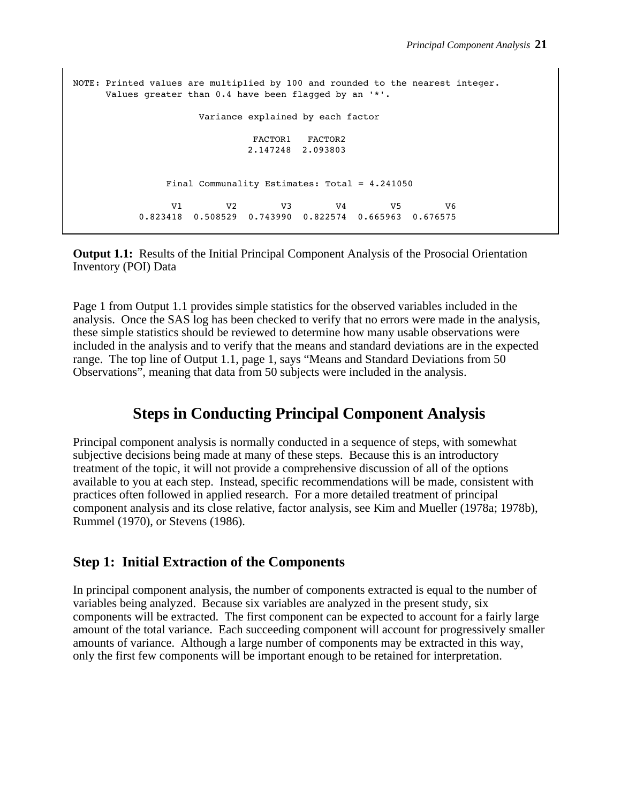NOTE: Printed values are multiplied by 100 and rounded to the nearest integer. Values greater than 0.4 have been flagged by an '\*'. Variance explained by each factor FACTOR1 FACTOR2 2.147248 2.093803 Final Communality Estimates: Total = 4.241050 V1 V2 V3 V4 V5 V6 0.823418 0.508529 0.743990 0.822574 0.665963 0.676575

**Output 1.1:** Results of the Initial Principal Component Analysis of the Prosocial Orientation Inventory (POI) Data

Page 1 from Output 1.1 provides simple statistics for the observed variables included in the analysis. Once the SAS log has been checked to verify that no errors were made in the analysis, these simple statistics should be reviewed to determine how many usable observations were included in the analysis and to verify that the means and standard deviations are in the expected range. The top line of Output 1.1, page 1, says "Means and Standard Deviations from 50 Observations", meaning that data from 50 subjects were included in the analysis.

## **Steps in Conducting Principal Component Analysis**

Principal component analysis is normally conducted in a sequence of steps, with somewhat subjective decisions being made at many of these steps. Because this is an introductory treatment of the topic, it will not provide a comprehensive discussion of all of the options available to you at each step. Instead, specific recommendations will be made, consistent with practices often followed in applied research. For a more detailed treatment of principal component analysis and its close relative, factor analysis, see Kim and Mueller (1978a; 1978b), Rummel (1970), or Stevens (1986).

### **Step 1: Initial Extraction of the Components**

In principal component analysis, the number of components extracted is equal to the number of variables being analyzed. Because six variables are analyzed in the present study, six components will be extracted. The first component can be expected to account for a fairly large amount of the total variance. Each succeeding component will account for progressively smaller amounts of variance. Although a large number of components may be extracted in this way, only the first few components will be important enough to be retained for interpretation.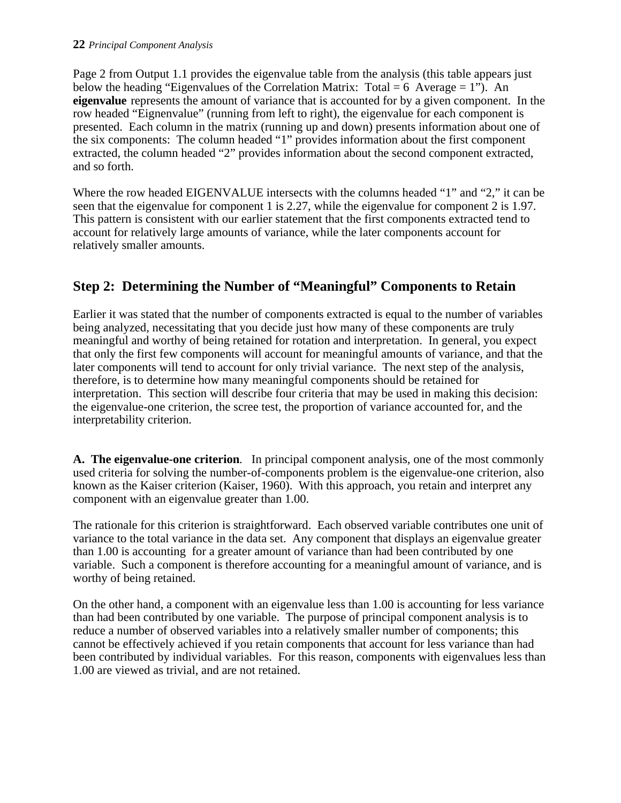Page 2 from Output 1.1 provides the eigenvalue table from the analysis (this table appears just below the heading "Eigenvalues of the Correlation Matrix: Total = 6 Average = 1"). An **eigenvalue** represents the amount of variance that is accounted for by a given component. In the row headed "Eignenvalue" (running from left to right), the eigenvalue for each component is presented. Each column in the matrix (running up and down) presents information about one of the six components: The column headed "1" provides information about the first component extracted, the column headed "2" provides information about the second component extracted, and so forth.

Where the row headed EIGENVALUE intersects with the columns headed "1" and "2," it can be seen that the eigenvalue for component 1 is 2.27, while the eigenvalue for component 2 is 1.97. This pattern is consistent with our earlier statement that the first components extracted tend to account for relatively large amounts of variance, while the later components account for relatively smaller amounts.

## **Step 2: Determining the Number of "Meaningful" Components to Retain**

Earlier it was stated that the number of components extracted is equal to the number of variables being analyzed, necessitating that you decide just how many of these components are truly meaningful and worthy of being retained for rotation and interpretation. In general, you expect that only the first few components will account for meaningful amounts of variance, and that the later components will tend to account for only trivial variance. The next step of the analysis, therefore, is to determine how many meaningful components should be retained for interpretation. This section will describe four criteria that may be used in making this decision: the eigenvalue-one criterion, the scree test, the proportion of variance accounted for, and the interpretability criterion.

**A. The eigenvalue-one criterion**. In principal component analysis, one of the most commonly used criteria for solving the number-of-components problem is the eigenvalue-one criterion, also known as the Kaiser criterion (Kaiser, 1960). With this approach, you retain and interpret any component with an eigenvalue greater than 1.00.

The rationale for this criterion is straightforward. Each observed variable contributes one unit of variance to the total variance in the data set. Any component that displays an eigenvalue greater than 1.00 is accounting for a greater amount of variance than had been contributed by one variable. Such a component is therefore accounting for a meaningful amount of variance, and is worthy of being retained.

On the other hand, a component with an eigenvalue less than 1.00 is accounting for less variance than had been contributed by one variable. The purpose of principal component analysis is to reduce a number of observed variables into a relatively smaller number of components; this cannot be effectively achieved if you retain components that account for less variance than had been contributed by individual variables. For this reason, components with eigenvalues less than 1.00 are viewed as trivial, and are not retained.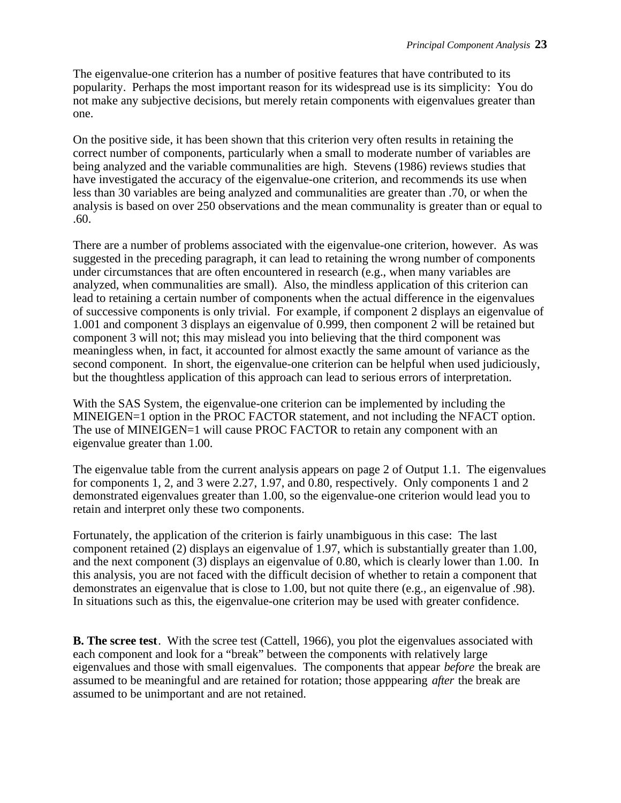The eigenvalue-one criterion has a number of positive features that have contributed to its popularity. Perhaps the most important reason for its widespread use is its simplicity: You do not make any subjective decisions, but merely retain components with eigenvalues greater than one.

On the positive side, it has been shown that this criterion very often results in retaining the correct number of components, particularly when a small to moderate number of variables are being analyzed and the variable communalities are high. Stevens (1986) reviews studies that have investigated the accuracy of the eigenvalue-one criterion, and recommends its use when less than 30 variables are being analyzed and communalities are greater than .70, or when the analysis is based on over 250 observations and the mean communality is greater than or equal to .60.

There are a number of problems associated with the eigenvalue-one criterion, however. As was suggested in the preceding paragraph, it can lead to retaining the wrong number of components under circumstances that are often encountered in research (e.g., when many variables are analyzed, when communalities are small). Also, the mindless application of this criterion can lead to retaining a certain number of components when the actual difference in the eigenvalues of successive components is only trivial. For example, if component 2 displays an eigenvalue of 1.001 and component 3 displays an eigenvalue of 0.999, then component 2 will be retained but component 3 will not; this may mislead you into believing that the third component was meaningless when, in fact, it accounted for almost exactly the same amount of variance as the second component. In short, the eigenvalue-one criterion can be helpful when used judiciously, but the thoughtless application of this approach can lead to serious errors of interpretation.

With the SAS System, the eigenvalue-one criterion can be implemented by including the MINEIGEN=1 option in the PROC FACTOR statement, and not including the NFACT option. The use of MINEIGEN=1 will cause PROC FACTOR to retain any component with an eigenvalue greater than 1.00.

The eigenvalue table from the current analysis appears on page 2 of Output 1.1. The eigenvalues for components 1, 2, and 3 were 2.27, 1.97, and 0.80, respectively. Only components 1 and 2 demonstrated eigenvalues greater than 1.00, so the eigenvalue-one criterion would lead you to retain and interpret only these two components.

Fortunately, the application of the criterion is fairly unambiguous in this case: The last component retained (2) displays an eigenvalue of 1.97, which is substantially greater than 1.00, and the next component (3) displays an eigenvalue of 0.80, which is clearly lower than 1.00. In this analysis, you are not faced with the difficult decision of whether to retain a component that demonstrates an eigenvalue that is close to 1.00, but not quite there (e.g., an eigenvalue of .98). In situations such as this, the eigenvalue-one criterion may be used with greater confidence.

**B. The scree test**. With the scree test (Cattell, 1966), you plot the eigenvalues associated with each component and look for a "break" between the components with relatively large eigenvalues and those with small eigenvalues. The components that appear *before* the break are assumed to be meaningful and are retained for rotation; those apppearing *after* the break are assumed to be unimportant and are not retained.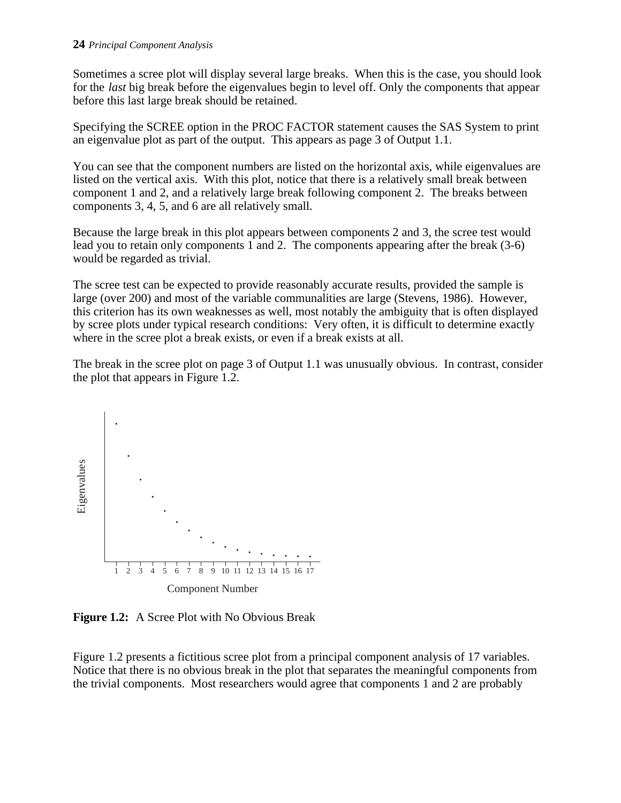#### **24** *Principal Component Analysis*

Sometimes a scree plot will display several large breaks. When this is the case, you should look for the *last* big break before the eigenvalues begin to level off. Only the components that appear before this last large break should be retained.

Specifying the SCREE option in the PROC FACTOR statement causes the SAS System to print an eigenvalue plot as part of the output. This appears as page 3 of Output 1.1.

You can see that the component numbers are listed on the horizontal axis, while eigenvalues are listed on the vertical axis. With this plot, notice that there is a relatively small break between component 1 and 2, and a relatively large break following component 2. The breaks between components 3, 4, 5, and 6 are all relatively small.

Because the large break in this plot appears between components 2 and 3, the scree test would lead you to retain only components 1 and 2. The components appearing after the break (3-6) would be regarded as trivial.

The scree test can be expected to provide reasonably accurate results, provided the sample is large (over 200) and most of the variable communalities are large (Stevens, 1986). However, this criterion has its own weaknesses as well, most notably the ambiguity that is often displayed by scree plots under typical research conditions: Very often, it is difficult to determine exactly where in the scree plot a break exists, or even if a break exists at all.

The break in the scree plot on page 3 of Output 1.1 was unusually obvious. In contrast, consider the plot that appears in Figure 1.2.



**Figure 1.2:** A Scree Plot with No Obvious Break

Figure 1.2 presents a fictitious scree plot from a principal component analysis of 17 variables. Notice that there is no obvious break in the plot that separates the meaningful components from the trivial components. Most researchers would agree that components 1 and 2 are probably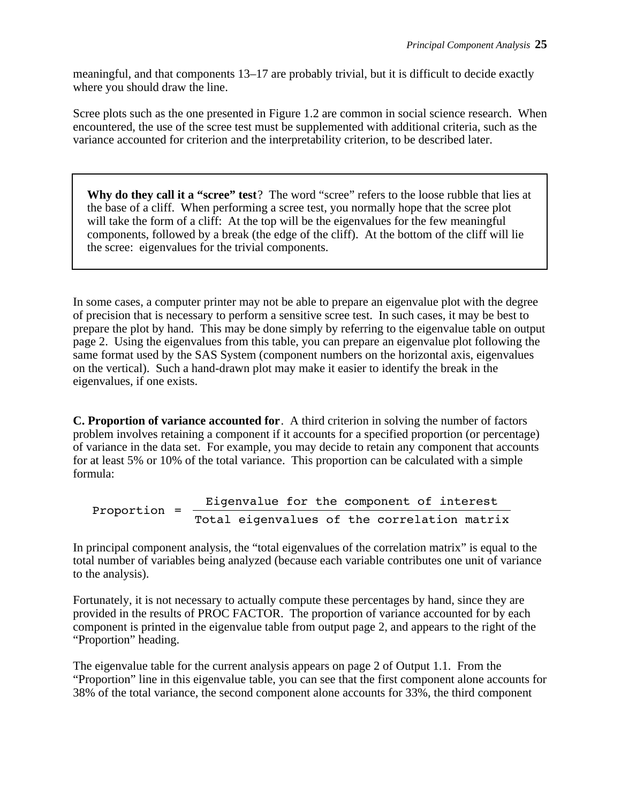meaningful, and that components 13–17 are probably trivial, but it is difficult to decide exactly where you should draw the line.

Scree plots such as the one presented in Figure 1.2 are common in social science research. When encountered, the use of the scree test must be supplemented with additional criteria, such as the variance accounted for criterion and the interpretability criterion, to be described later.

**Why do they call it a "scree" test**? The word "scree" refers to the loose rubble that lies at the base of a cliff. When performing a scree test, you normally hope that the scree plot will take the form of a cliff: At the top will be the eigenvalues for the few meaningful components, followed by a break (the edge of the cliff). At the bottom of the cliff will lie the scree: eigenvalues for the trivial components.

In some cases, a computer printer may not be able to prepare an eigenvalue plot with the degree of precision that is necessary to perform a sensitive scree test. In such cases, it may be best to prepare the plot by hand. This may be done simply by referring to the eigenvalue table on output page 2. Using the eigenvalues from this table, you can prepare an eigenvalue plot following the same format used by the SAS System (component numbers on the horizontal axis, eigenvalues on the vertical). Such a hand-drawn plot may make it easier to identify the break in the eigenvalues, if one exists.

**C. Proportion of variance accounted for**. A third criterion in solving the number of factors problem involves retaining a component if it accounts for a specified proportion (or percentage) of variance in the data set. For example, you may decide to retain any component that accounts for at least 5% or 10% of the total variance. This proportion can be calculated with a simple formula:

Proportion =  $\frac{Eigenvalue$  for the component of interest Total eigenvalues of the correlation matrix

In principal component analysis, the "total eigenvalues of the correlation matrix" is equal to the total number of variables being analyzed (because each variable contributes one unit of variance to the analysis).

Fortunately, it is not necessary to actually compute these percentages by hand, since they are provided in the results of PROC FACTOR. The proportion of variance accounted for by each component is printed in the eigenvalue table from output page 2, and appears to the right of the "Proportion" heading.

The eigenvalue table for the current analysis appears on page 2 of Output 1.1. From the "Proportion" line in this eigenvalue table, you can see that the first component alone accounts for 38% of the total variance, the second component alone accounts for 33%, the third component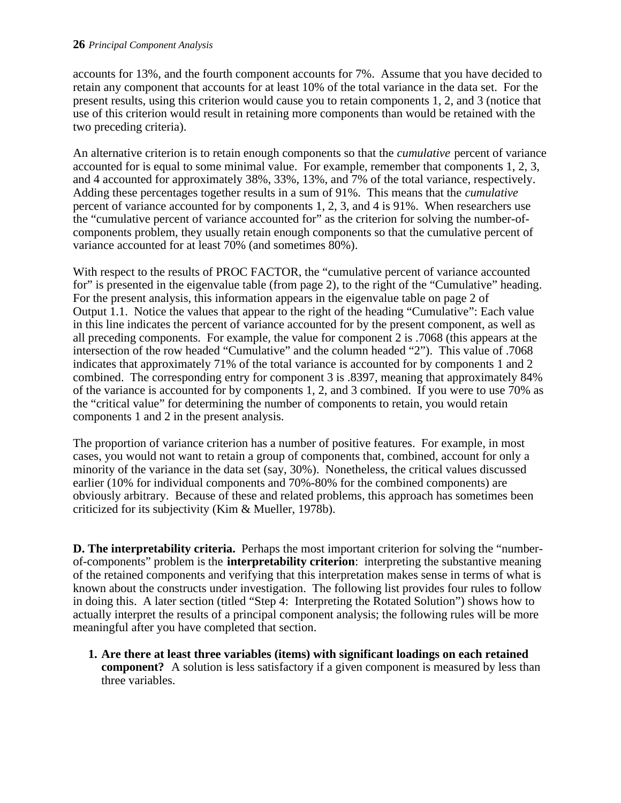#### **26** *Principal Component Analysis*

accounts for 13%, and the fourth component accounts for 7%. Assume that you have decided to retain any component that accounts for at least 10% of the total variance in the data set. For the present results, using this criterion would cause you to retain components 1, 2, and 3 (notice that use of this criterion would result in retaining more components than would be retained with the two preceding criteria).

An alternative criterion is to retain enough components so that the *cumulative* percent of variance accounted for is equal to some minimal value. For example, remember that components 1, 2, 3, and 4 accounted for approximately 38%, 33%, 13%, and 7% of the total variance, respectively. Adding these percentages together results in a sum of 91%. This means that the *cumulative* percent of variance accounted for by components 1, 2, 3, and 4 is 91%. When researchers use the "cumulative percent of variance accounted for" as the criterion for solving the number-ofcomponents problem, they usually retain enough components so that the cumulative percent of variance accounted for at least 70% (and sometimes 80%).

With respect to the results of PROC FACTOR, the "cumulative percent of variance accounted for" is presented in the eigenvalue table (from page 2), to the right of the "Cumulative" heading. For the present analysis, this information appears in the eigenvalue table on page 2 of Output 1.1. Notice the values that appear to the right of the heading "Cumulative": Each value in this line indicates the percent of variance accounted for by the present component, as well as all preceding components. For example, the value for component 2 is .7068 (this appears at the intersection of the row headed "Cumulative" and the column headed "2"). This value of .7068 indicates that approximately 71% of the total variance is accounted for by components 1 and 2 combined. The corresponding entry for component 3 is .8397, meaning that approximately 84% of the variance is accounted for by components 1, 2, and 3 combined. If you were to use 70% as the "critical value" for determining the number of components to retain, you would retain components 1 and 2 in the present analysis.

The proportion of variance criterion has a number of positive features. For example, in most cases, you would not want to retain a group of components that, combined, account for only a minority of the variance in the data set (say, 30%). Nonetheless, the critical values discussed earlier (10% for individual components and 70%-80% for the combined components) are obviously arbitrary. Because of these and related problems, this approach has sometimes been criticized for its subjectivity (Kim & Mueller, 1978b).

**D. The interpretability criteria.** Perhaps the most important criterion for solving the "numberof-components" problem is the **interpretability criterion**: interpreting the substantive meaning of the retained components and verifying that this interpretation makes sense in terms of what is known about the constructs under investigation. The following list provides four rules to follow in doing this. A later section (titled "Step 4: Interpreting the Rotated Solution") shows how to actually interpret the results of a principal component analysis; the following rules will be more meaningful after you have completed that section.

 **1. Are there at least three variables (items) with significant loadings on each retained component?** A solution is less satisfactory if a given component is measured by less than three variables.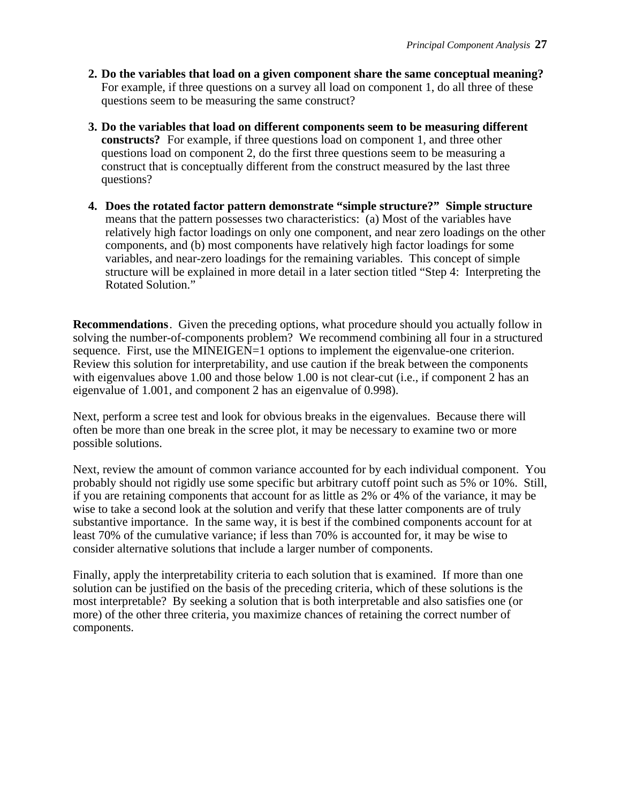- **2. Do the variables that load on a given component share the same conceptual meaning?** For example, if three questions on a survey all load on component 1, do all three of these questions seem to be measuring the same construct?
- **3. Do the variables that load on different components seem to be measuring different constructs?** For example, if three questions load on component 1, and three other questions load on component 2, do the first three questions seem to be measuring a construct that is conceptually different from the construct measured by the last three questions?
- **4. Does the rotated factor pattern demonstrate "simple structure?" Simple structure** means that the pattern possesses two characteristics: (a) Most of the variables have relatively high factor loadings on only one component, and near zero loadings on the other components, and (b) most components have relatively high factor loadings for some variables, and near-zero loadings for the remaining variables. This concept of simple structure will be explained in more detail in a later section titled "Step 4: Interpreting the Rotated Solution."

**Recommendations**. Given the preceding options, what procedure should you actually follow in solving the number-of-components problem? We recommend combining all four in a structured sequence. First, use the MINEIGEN=1 options to implement the eigenvalue-one criterion. Review this solution for interpretability, and use caution if the break between the components with eigenvalues above 1.00 and those below 1.00 is not clear-cut (i.e., if component 2 has an eigenvalue of 1.001, and component 2 has an eigenvalue of 0.998).

Next, perform a scree test and look for obvious breaks in the eigenvalues. Because there will often be more than one break in the scree plot, it may be necessary to examine two or more possible solutions.

Next, review the amount of common variance accounted for by each individual component. You probably should not rigidly use some specific but arbitrary cutoff point such as 5% or 10%. Still, if you are retaining components that account for as little as 2% or 4% of the variance, it may be wise to take a second look at the solution and verify that these latter components are of truly substantive importance. In the same way, it is best if the combined components account for at least 70% of the cumulative variance; if less than 70% is accounted for, it may be wise to consider alternative solutions that include a larger number of components.

Finally, apply the interpretability criteria to each solution that is examined. If more than one solution can be justified on the basis of the preceding criteria, which of these solutions is the most interpretable? By seeking a solution that is both interpretable and also satisfies one (or more) of the other three criteria, you maximize chances of retaining the correct number of components.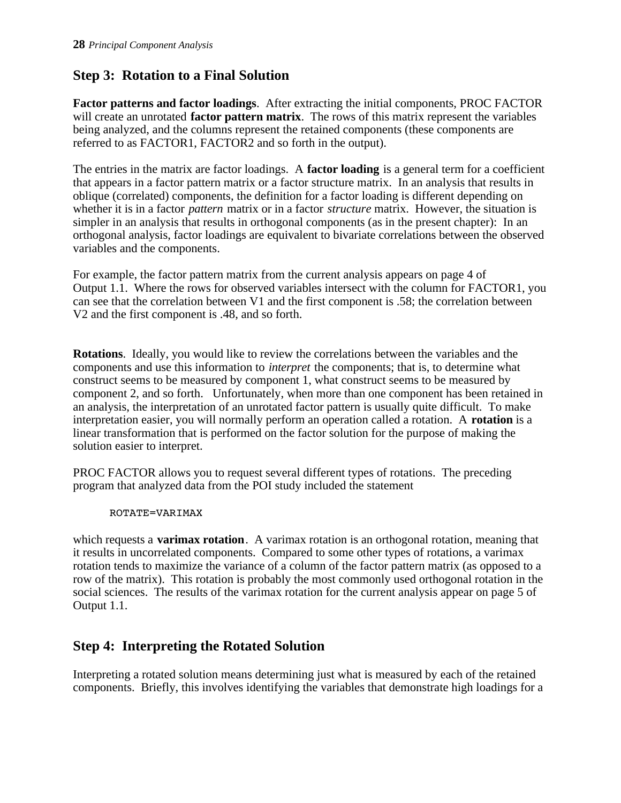### **Step 3: Rotation to a Final Solution**

**Factor patterns and factor loadings**. After extracting the initial components, PROC FACTOR will create an unrotated **factor pattern matrix**. The rows of this matrix represent the variables being analyzed, and the columns represent the retained components (these components are referred to as FACTOR1, FACTOR2 and so forth in the output).

The entries in the matrix are factor loadings. A **factor loading** is a general term for a coefficient that appears in a factor pattern matrix or a factor structure matrix. In an analysis that results in oblique (correlated) components, the definition for a factor loading is different depending on whether it is in a factor *pattern* matrix or in a factor *structure* matrix. However, the situation is simpler in an analysis that results in orthogonal components (as in the present chapter): In an orthogonal analysis, factor loadings are equivalent to bivariate correlations between the observed variables and the components.

For example, the factor pattern matrix from the current analysis appears on page 4 of Output 1.1. Where the rows for observed variables intersect with the column for FACTOR1, you can see that the correlation between V1 and the first component is .58; the correlation between V2 and the first component is .48, and so forth.

**Rotations**. Ideally, you would like to review the correlations between the variables and the components and use this information to *interpret* the components; that is, to determine what construct seems to be measured by component 1, what construct seems to be measured by component 2, and so forth. Unfortunately, when more than one component has been retained in an analysis, the interpretation of an unrotated factor pattern is usually quite difficult. To make interpretation easier, you will normally perform an operation called a rotation. A **rotation** is a linear transformation that is performed on the factor solution for the purpose of making the solution easier to interpret.

PROC FACTOR allows you to request several different types of rotations. The preceding program that analyzed data from the POI study included the statement

#### ROTATE=VARIMAX

which requests a **varimax rotation**. A varimax rotation is an orthogonal rotation, meaning that it results in uncorrelated components. Compared to some other types of rotations, a varimax rotation tends to maximize the variance of a column of the factor pattern matrix (as opposed to a row of the matrix). This rotation is probably the most commonly used orthogonal rotation in the social sciences. The results of the varimax rotation for the current analysis appear on page 5 of Output 1.1.

### **Step 4: Interpreting the Rotated Solution**

Interpreting a rotated solution means determining just what is measured by each of the retained components. Briefly, this involves identifying the variables that demonstrate high loadings for a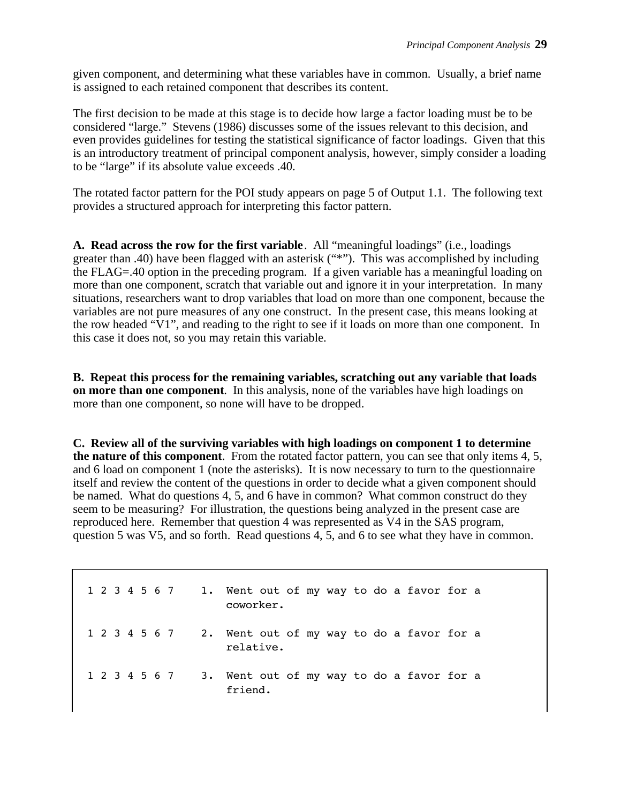given component, and determining what these variables have in common. Usually, a brief name is assigned to each retained component that describes its content.

The first decision to be made at this stage is to decide how large a factor loading must be to be considered "large." Stevens (1986) discusses some of the issues relevant to this decision, and even provides guidelines for testing the statistical significance of factor loadings. Given that this is an introductory treatment of principal component analysis, however, simply consider a loading to be "large" if its absolute value exceeds .40.

The rotated factor pattern for the POI study appears on page 5 of Output 1.1. The following text provides a structured approach for interpreting this factor pattern.

**A. Read across the row for the first variable**. All "meaningful loadings" (i.e., loadings greater than .40) have been flagged with an asterisk ("\*"). This was accomplished by including the FLAG=.40 option in the preceding program. If a given variable has a meaningful loading on more than one component, scratch that variable out and ignore it in your interpretation. In many situations, researchers want to drop variables that load on more than one component, because the variables are not pure measures of any one construct. In the present case, this means looking at the row headed "V1", and reading to the right to see if it loads on more than one component. In this case it does not, so you may retain this variable.

**B. Repeat this process for the remaining variables, scratching out any variable that loads on more than one component**. In this analysis, none of the variables have high loadings on more than one component, so none will have to be dropped.

**C. Review all of the surviving variables with high loadings on component 1 to determine the nature of this component**. From the rotated factor pattern, you can see that only items 4, 5, and 6 load on component 1 (note the asterisks). It is now necessary to turn to the questionnaire itself and review the content of the questions in order to decide what a given component should be named. What do questions 4, 5, and 6 have in common? What common construct do they seem to be measuring? For illustration, the questions being analyzed in the present case are reproduced here. Remember that question 4 was represented as V4 in the SAS program, question 5 was V5, and so forth. Read questions 4, 5, and 6 to see what they have in common.

|  | 1 2 3 4 5 6 7 1. Went out of my way to do a favor for a<br>coworker. |
|--|----------------------------------------------------------------------|
|  | 1 2 3 4 5 6 7 2. Went out of my way to do a favor for a<br>relative. |
|  | 1 2 3 4 5 6 7 3. Went out of my way to do a favor for a<br>friend.   |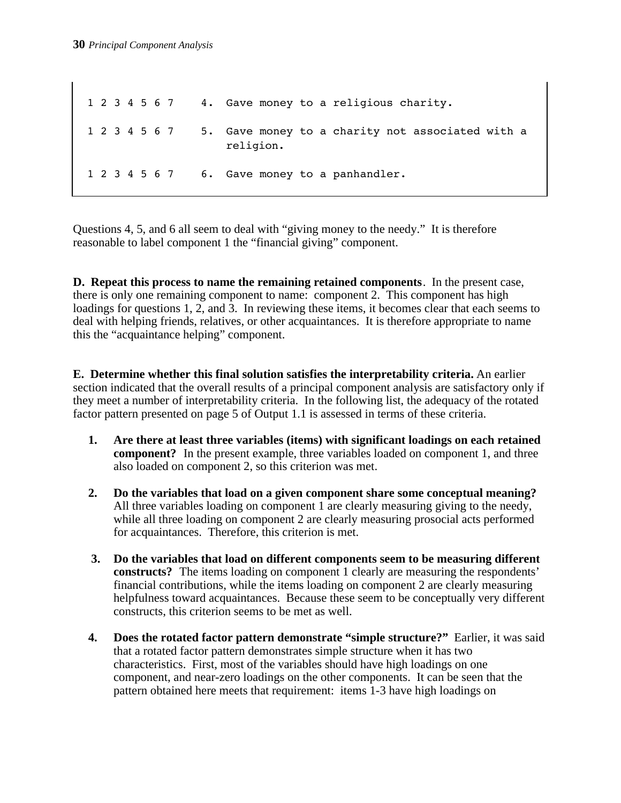```
1 2 3 4 5 6 7 4. Gave money to a religious charity.
1 2 3 4 5 6 7 5. Gave money to a charity not associated with a
                   religion.
1 2 3 4 5 6 7 6. Gave money to a panhandler.
```
Questions 4, 5, and 6 all seem to deal with "giving money to the needy." It is therefore reasonable to label component 1 the "financial giving" component.

**D. Repeat this process to name the remaining retained components**. In the present case, there is only one remaining component to name: component 2. This component has high loadings for questions 1, 2, and 3. In reviewing these items, it becomes clear that each seems to deal with helping friends, relatives, or other acquaintances. It is therefore appropriate to name this the "acquaintance helping" component.

**E. Determine whether this final solution satisfies the interpretability criteria.** An earlier section indicated that the overall results of a principal component analysis are satisfactory only if they meet a number of interpretability criteria. In the following list, the adequacy of the rotated factor pattern presented on page 5 of Output 1.1 is assessed in terms of these criteria.

- **1. Are there at least three variables (items) with significant loadings on each retained component?** In the present example, three variables loaded on component 1, and three also loaded on component 2, so this criterion was met.
- **2. Do the variables that load on a given component share some conceptual meaning?** All three variables loading on component 1 are clearly measuring giving to the needy, while all three loading on component 2 are clearly measuring prosocial acts performed for acquaintances. Therefore, this criterion is met.
- **3. Do the variables that load on different components seem to be measuring different constructs?** The items loading on component 1 clearly are measuring the respondents' financial contributions, while the items loading on component 2 are clearly measuring helpfulness toward acquaintances. Because these seem to be conceptually very different constructs, this criterion seems to be met as well.
- **4. Does the rotated factor pattern demonstrate "simple structure?"** Earlier, it was said that a rotated factor pattern demonstrates simple structure when it has two characteristics. First, most of the variables should have high loadings on one component, and near-zero loadings on the other components. It can be seen that the pattern obtained here meets that requirement: items 1-3 have high loadings on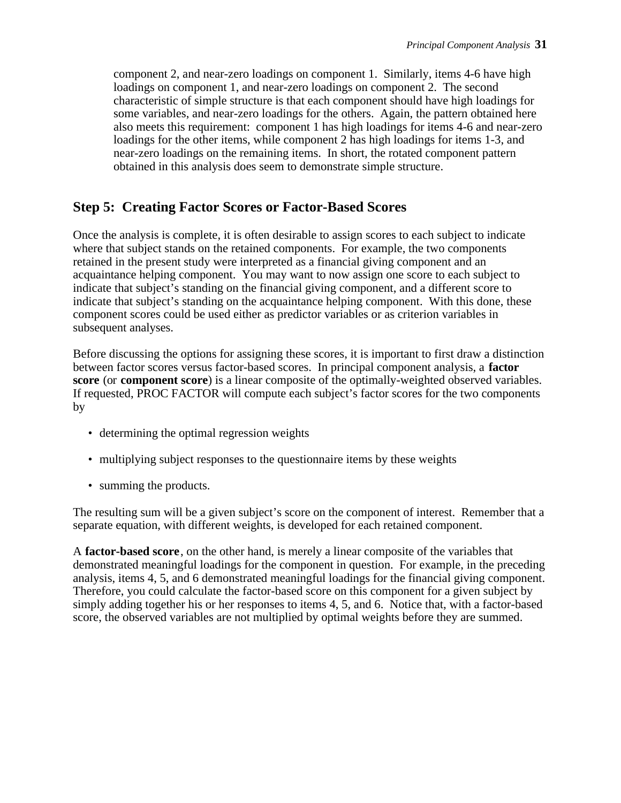component 2, and near-zero loadings on component 1. Similarly, items 4-6 have high loadings on component 1, and near-zero loadings on component 2. The second characteristic of simple structure is that each component should have high loadings for some variables, and near-zero loadings for the others. Again, the pattern obtained here also meets this requirement: component 1 has high loadings for items 4-6 and near-zero loadings for the other items, while component 2 has high loadings for items 1-3, and near-zero loadings on the remaining items. In short, the rotated component pattern obtained in this analysis does seem to demonstrate simple structure.

### **Step 5: Creating Factor Scores or Factor-Based Scores**

Once the analysis is complete, it is often desirable to assign scores to each subject to indicate where that subject stands on the retained components. For example, the two components retained in the present study were interpreted as a financial giving component and an acquaintance helping component. You may want to now assign one score to each subject to indicate that subject's standing on the financial giving component, and a different score to indicate that subject's standing on the acquaintance helping component. With this done, these component scores could be used either as predictor variables or as criterion variables in subsequent analyses.

Before discussing the options for assigning these scores, it is important to first draw a distinction between factor scores versus factor-based scores. In principal component analysis, a **factor score** (or **component score**) is a linear composite of the optimally-weighted observed variables. If requested, PROC FACTOR will compute each subject's factor scores for the two components by

- determining the optimal regression weights
- multiplying subject responses to the questionnaire items by these weights
- summing the products.

The resulting sum will be a given subject's score on the component of interest. Remember that a separate equation, with different weights, is developed for each retained component.

A **factor-based score**, on the other hand, is merely a linear composite of the variables that demonstrated meaningful loadings for the component in question. For example, in the preceding analysis, items 4, 5, and 6 demonstrated meaningful loadings for the financial giving component. Therefore, you could calculate the factor-based score on this component for a given subject by simply adding together his or her responses to items 4, 5, and 6. Notice that, with a factor-based score, the observed variables are not multiplied by optimal weights before they are summed.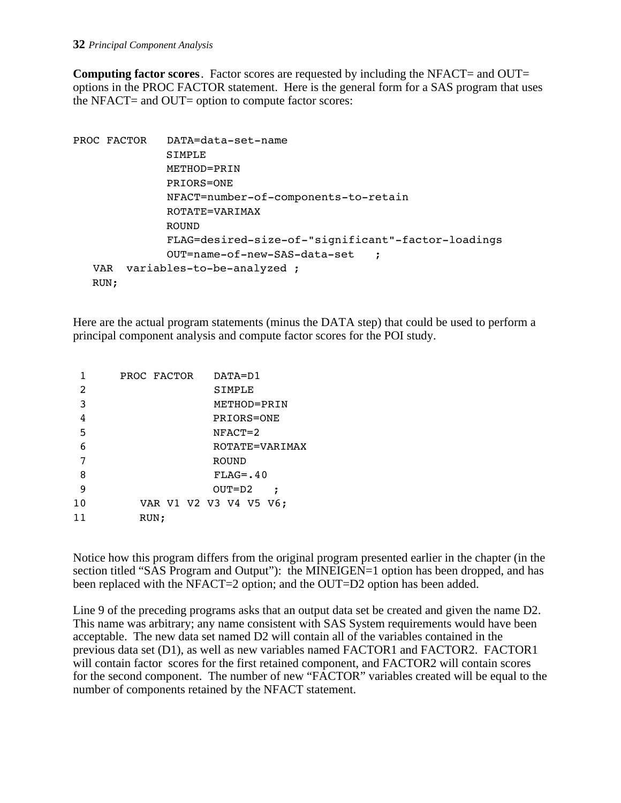**Computing factor scores**. Factor scores are requested by including the NFACT= and OUT= options in the PROC FACTOR statement. Here is the general form for a SAS program that uses the NFACT= and OUT= option to compute factor scores:

```
PROC FACTOR DATA=data-set-name
               SIMPLE 
               METHOD=PRIN
               PRIORS=ONE
               NFACT=number-of-components-to-retain
               ROTATE=VARIMAX
              ROUND
               FLAG=desired-size-of-"significant"-factor-loadings
               OUT=name-of-new-SAS-data-set ;
    VAR variables-to-be-analyzed ;
   RUN;
```
Here are the actual program statements (minus the DATA step) that could be used to perform a principal component analysis and compute factor scores for the POI study.

| 1  |       | PROC FACTOR | DATA=D1                |  |
|----|-------|-------------|------------------------|--|
| 2  |       |             | SIMPLE                 |  |
| 3  |       |             | METHOD=PRIN            |  |
| 4  |       |             | PRIORS=ONE             |  |
| 5  |       |             | $NFACT=2$              |  |
| 6  |       |             | ROTATE=VARIMAX         |  |
| 7  |       |             | ROUND                  |  |
| 8  |       |             | $FLAG = .40$           |  |
| 9  |       |             | $OUT=D2$               |  |
| 10 |       |             | VAR V1 V2 V3 V4 V5 V6; |  |
| 11 | RUN ; |             |                        |  |

Notice how this program differs from the original program presented earlier in the chapter (in the section titled "SAS Program and Output"): the MINEIGEN=1 option has been dropped, and has been replaced with the NFACT=2 option; and the OUT=D2 option has been added.

Line 9 of the preceding programs asks that an output data set be created and given the name D2. This name was arbitrary; any name consistent with SAS System requirements would have been acceptable. The new data set named D2 will contain all of the variables contained in the previous data set (D1), as well as new variables named FACTOR1 and FACTOR2. FACTOR1 will contain factor scores for the first retained component, and FACTOR2 will contain scores for the second component. The number of new "FACTOR" variables created will be equal to the number of components retained by the NFACT statement.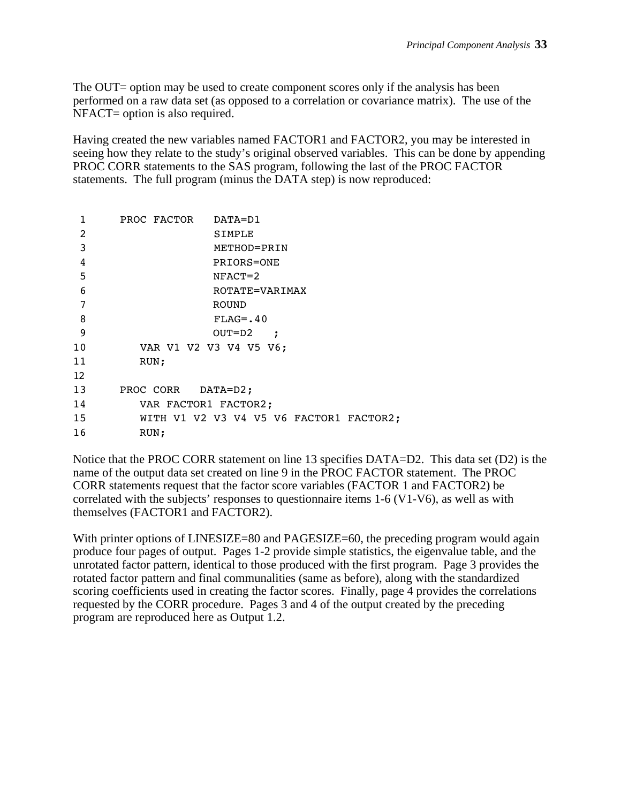The OUT= option may be used to create component scores only if the analysis has been performed on a raw data set (as opposed to a correlation or covariance matrix). The use of the NFACT= option is also required.

Having created the new variables named FACTOR1 and FACTOR2, you may be interested in seeing how they relate to the study's original observed variables. This can be done by appending PROC CORR statements to the SAS program, following the last of the PROC FACTOR statements. The full program (minus the DATA step) is now reproduced:

| $\mathbf{1}$ | PROC FACTOR                             | DATA=D1        |  |  |
|--------------|-----------------------------------------|----------------|--|--|
| 2            |                                         | <b>SIMPLE</b>  |  |  |
| $\mathbf{3}$ |                                         | METHOD=PRIN    |  |  |
| 4            |                                         | PRIORS=ONE     |  |  |
| 5            |                                         | $NFACT=2$      |  |  |
| 6            |                                         | ROTATE=VARIMAX |  |  |
| 7            |                                         | ROUND          |  |  |
| 8            |                                         | $FLAG = .40$   |  |  |
| 9            |                                         | $OUT=D2$ ;     |  |  |
| 10           | VAR V1 V2 V3 V4 V5 V6;                  |                |  |  |
| 11           | RUN;                                    |                |  |  |
| 12           |                                         |                |  |  |
| 13           | PROC CORR DATA=D2;                      |                |  |  |
| 14           | VAR FACTOR1 FACTOR2;                    |                |  |  |
| 15           | WITH V1 V2 V3 V4 V5 V6 FACTOR1 FACTOR2; |                |  |  |
| 16           | RUN;                                    |                |  |  |

Notice that the PROC CORR statement on line 13 specifies DATA=D2. This data set (D2) is the name of the output data set created on line 9 in the PROC FACTOR statement. The PROC CORR statements request that the factor score variables (FACTOR 1 and FACTOR2) be correlated with the subjects' responses to questionnaire items 1-6 (V1-V6), as well as with themselves (FACTOR1 and FACTOR2).

With printer options of LINESIZE=80 and PAGESIZE=60, the preceding program would again produce four pages of output. Pages 1-2 provide simple statistics, the eigenvalue table, and the unrotated factor pattern, identical to those produced with the first program. Page 3 provides the rotated factor pattern and final communalities (same as before), along with the standardized scoring coefficients used in creating the factor scores. Finally, page 4 provides the correlations requested by the CORR procedure. Pages 3 and 4 of the output created by the preceding program are reproduced here as Output 1.2.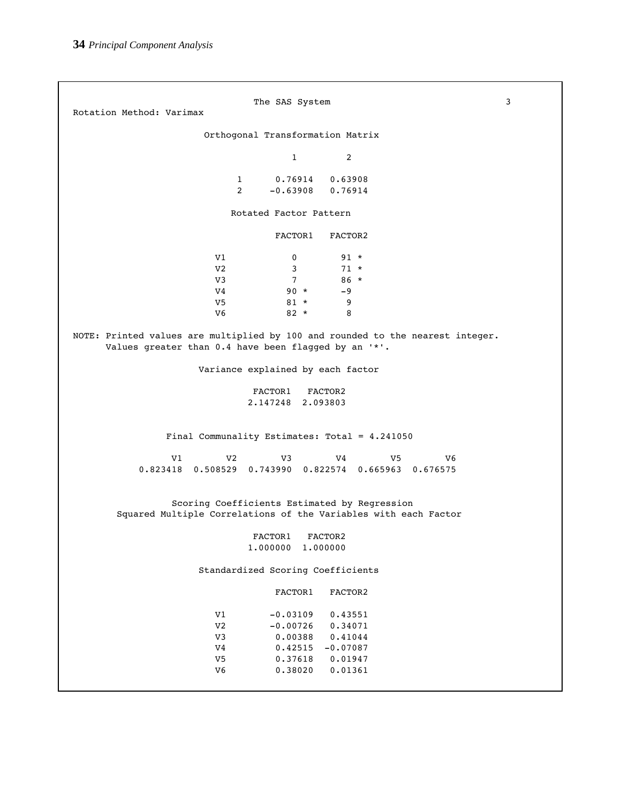The SAS System 3 Rotation Method: Varimax Orthogonal Transformation Matrix 1 2 1 0.76914 0.63908 2 -0.63908 0.76914 Rotated Factor Pattern FACTOR1 FACTOR2 V1 0 91 \* V2 3 71 \* V3 7 86 \*  $V4$  90  $*$  -9 V5 81 \* 9 V6 82 \* 8 NOTE: Printed values are multiplied by 100 and rounded to the nearest integer. Values greater than 0.4 have been flagged by an '\*'. Variance explained by each factor FACTOR1 FACTOR2 2.147248 2.093803 Final Communality Estimates: Total = 4.241050 V1 V2 V3 V4 V5 V6 0.823418 0.508529 0.743990 0.822574 0.665963 0.676575 Scoring Coefficients Estimated by Regression Squared Multiple Correlations of the Variables with each Factor FACTOR1 FACTOR2 1.000000 1.000000 Standardized Scoring Coefficients FACTOR1 FACTOR2 V1 -0.03109 0.43551  $V2$   $-0.00726$   $0.34071$ <br> $V3$   $0.00388$   $0.41044$ V3 0.00388 V4 0.42515 -0.07087<br>V5 0.37618 0.01947 V5 0.37618 0.01947<br>V6 0.38020 0.01361  $0.38020$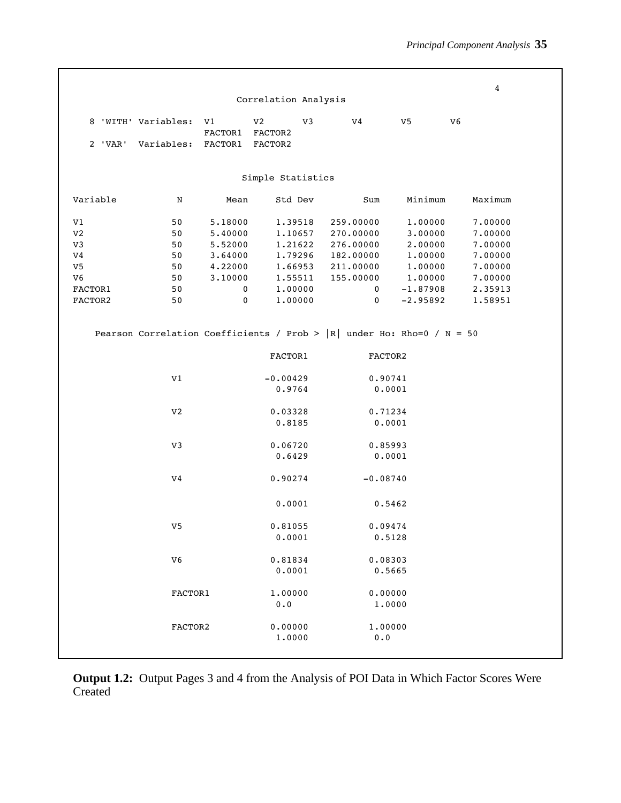|                |                   |                    |                      |                   |            | 4                                                                        |
|----------------|-------------------|--------------------|----------------------|-------------------|------------|--------------------------------------------------------------------------|
|                |                   |                    | Correlation Analysis |                   |            |                                                                          |
| 8              | 'WITH' Variables: | V1                 | V <sub>2</sub><br>V3 | V <sub>4</sub>    | V5         | V <sub>6</sub>                                                           |
| $2$ 'VAR'      | Variables:        | FACTOR1<br>FACTOR1 | FACTOR2<br>FACTOR2   |                   |            |                                                                          |
|                |                   |                    | Simple Statistics    |                   |            |                                                                          |
|                |                   |                    |                      |                   |            |                                                                          |
| Variable       | N                 | Mean               | Std Dev              | Sum               | Minimum    | Maximum                                                                  |
| V1             | 50                | 5.18000            | 1.39518              | 259.00000         | 1.00000    | 7.00000                                                                  |
| V <sub>2</sub> | 50                | 5.40000            | 1.10657              | 270.00000         | 3.00000    | 7.00000                                                                  |
| V3             | 50                | 5.52000            | 1.21622              | 276.00000         | 2.00000    | 7.00000                                                                  |
| V <sub>4</sub> | 50                | 3.64000            | 1.79296              | 182.00000         | 1.00000    | 7.00000                                                                  |
| V <sub>5</sub> | 50                | 4.22000            | 1.66953              | 211.00000         | 1.00000    | 7.00000                                                                  |
| V6             | 50                | 3.10000            | 1.55511              | 155.00000         | 1.00000    | 7.00000                                                                  |
| FACTOR1        | 50                | 0                  | 1.00000              | 0                 | $-1.87908$ | 2.35913                                                                  |
| FACTOR2        | 50                | 0                  | 1.00000              | 0                 | $-2.95892$ | 1.58951                                                                  |
|                |                   |                    |                      |                   |            | Pearson Correlation Coefficients / Prob > $ R $ under Ho: Rho=0 / N = 50 |
|                |                   |                    | FACTOR1              | FACTOR2           |            |                                                                          |
|                |                   |                    |                      |                   |            |                                                                          |
|                | V1                |                    | $-0.00429$           | 0.90741           |            |                                                                          |
|                |                   |                    | 0.9764               | 0.0001            |            |                                                                          |
|                |                   |                    | 0.03328              | 0.71234           |            |                                                                          |
|                | V <sub>2</sub>    |                    | 0.8185               | 0.0001            |            |                                                                          |
|                |                   |                    |                      |                   |            |                                                                          |
|                | V <sub>3</sub>    |                    | 0.06720              | 0.85993           |            |                                                                          |
|                |                   |                    | 0.6429               | 0.0001            |            |                                                                          |
|                | V <sub>4</sub>    |                    | 0.90274              | $-0.08740$        |            |                                                                          |
|                |                   |                    |                      |                   |            |                                                                          |
|                |                   |                    | 0.0001               | 0.5462            |            |                                                                          |
|                | V5                |                    |                      |                   |            |                                                                          |
|                |                   |                    | 0.81055<br>0.0001    | 0.09474           | 0.5128     |                                                                          |
|                |                   |                    |                      |                   |            |                                                                          |
|                | V <sub>6</sub>    |                    | 0.81834<br>0.0001    | 0.08303<br>0.5665 |            |                                                                          |
|                |                   |                    |                      |                   |            |                                                                          |
|                | FACTOR1           |                    | 1.00000              | 0.00000           |            |                                                                          |
|                |                   |                    | $0.0$                | 1.0000            |            |                                                                          |
|                | FACTOR2           |                    | 0.00000              | 1.00000           |            |                                                                          |

**Output 1.2:** Output Pages 3 and 4 from the Analysis of POI Data in Which Factor Scores Were Created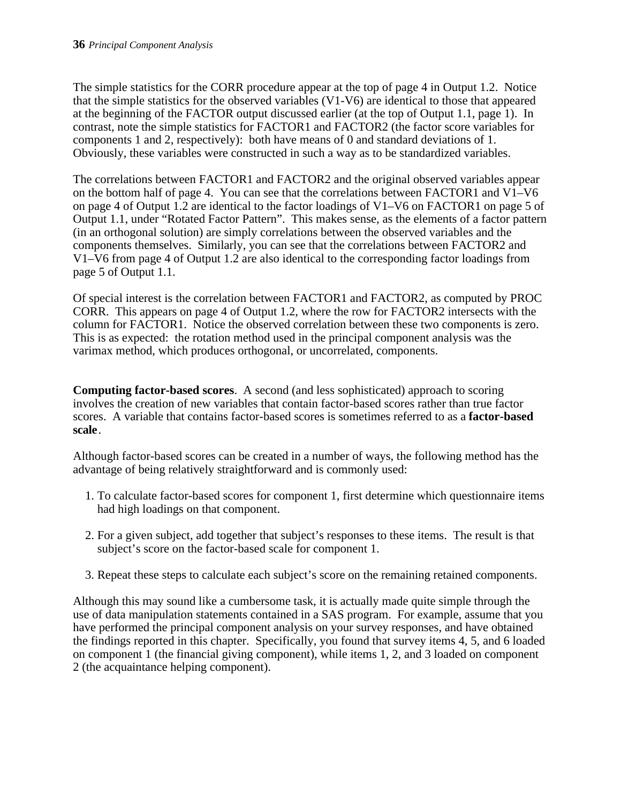The simple statistics for the CORR procedure appear at the top of page 4 in Output 1.2. Notice that the simple statistics for the observed variables (V1-V6) are identical to those that appeared at the beginning of the FACTOR output discussed earlier (at the top of Output 1.1, page 1). In contrast, note the simple statistics for FACTOR1 and FACTOR2 (the factor score variables for components 1 and 2, respectively): both have means of 0 and standard deviations of 1. Obviously, these variables were constructed in such a way as to be standardized variables.

The correlations between FACTOR1 and FACTOR2 and the original observed variables appear on the bottom half of page 4. You can see that the correlations between FACTOR1 and V1–V6 on page 4 of Output 1.2 are identical to the factor loadings of V1–V6 on FACTOR1 on page 5 of Output 1.1, under "Rotated Factor Pattern". This makes sense, as the elements of a factor pattern (in an orthogonal solution) are simply correlations between the observed variables and the components themselves. Similarly, you can see that the correlations between FACTOR2 and V1–V6 from page 4 of Output 1.2 are also identical to the corresponding factor loadings from page 5 of Output 1.1.

Of special interest is the correlation between FACTOR1 and FACTOR2, as computed by PROC CORR. This appears on page 4 of Output 1.2, where the row for FACTOR2 intersects with the column for FACTOR1. Notice the observed correlation between these two components is zero. This is as expected: the rotation method used in the principal component analysis was the varimax method, which produces orthogonal, or uncorrelated, components.

**Computing factor-based scores**. A second (and less sophisticated) approach to scoring involves the creation of new variables that contain factor-based scores rather than true factor scores. A variable that contains factor-based scores is sometimes referred to as a **factor-based scale**.

Although factor-based scores can be created in a number of ways, the following method has the advantage of being relatively straightforward and is commonly used:

- 1. To calculate factor-based scores for component 1, first determine which questionnaire items had high loadings on that component.
- 2. For a given subject, add together that subject's responses to these items. The result is that subject's score on the factor-based scale for component 1.
- 3. Repeat these steps to calculate each subject's score on the remaining retained components.

Although this may sound like a cumbersome task, it is actually made quite simple through the use of data manipulation statements contained in a SAS program. For example, assume that you have performed the principal component analysis on your survey responses, and have obtained the findings reported in this chapter. Specifically, you found that survey items 4, 5, and 6 loaded on component 1 (the financial giving component), while items 1, 2, and 3 loaded on component 2 (the acquaintance helping component).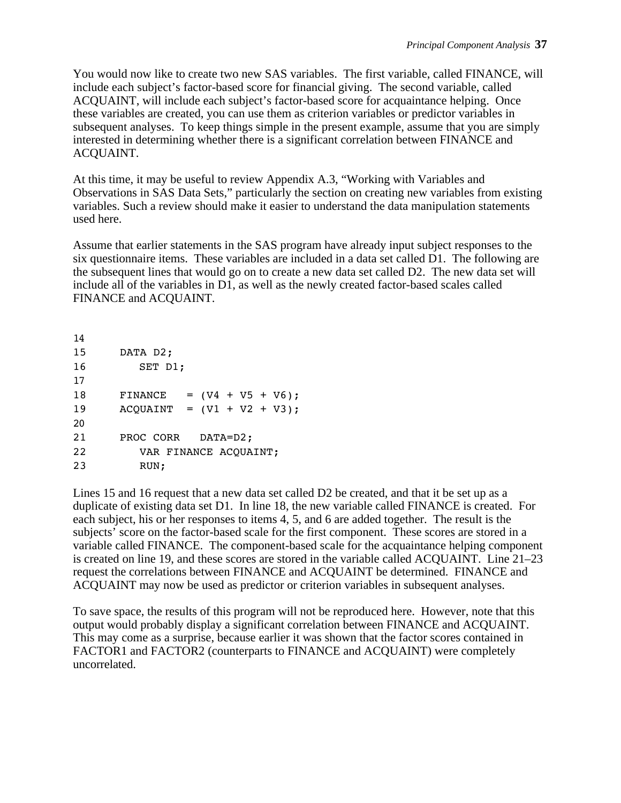You would now like to create two new SAS variables. The first variable, called FINANCE, will include each subject's factor-based score for financial giving. The second variable, called ACQUAINT, will include each subject's factor-based score for acquaintance helping. Once these variables are created, you can use them as criterion variables or predictor variables in subsequent analyses. To keep things simple in the present example, assume that you are simply interested in determining whether there is a significant correlation between FINANCE and ACQUAINT.

At this time, it may be useful to review Appendix A.3, "Working with Variables and Observations in SAS Data Sets," particularly the section on creating new variables from existing variables. Such a review should make it easier to understand the data manipulation statements used here.

Assume that earlier statements in the SAS program have already input subject responses to the six questionnaire items. These variables are included in a data set called D1. The following are the subsequent lines that would go on to create a new data set called D2. The new data set will include all of the variables in D1, as well as the newly created factor-based scales called FINANCE and ACQUAINT.

14 15 DATA D2; 16 SET D1; 17 18 FINANCE =  $(V4 + V5 + V6)$ ; 19  $ACQUAINT = (V1 + V2 + V3);$ 20 21 PROC CORR DATA=D2; 22 VAR FINANCE ACQUAINT; 23 RUN;

Lines 15 and 16 request that a new data set called D2 be created, and that it be set up as a duplicate of existing data set D1. In line 18, the new variable called FINANCE is created. For each subject, his or her responses to items 4, 5, and 6 are added together. The result is the subjects' score on the factor-based scale for the first component. These scores are stored in a variable called FINANCE. The component-based scale for the acquaintance helping component is created on line 19, and these scores are stored in the variable called ACQUAINT. Line 21–23 request the correlations between FINANCE and ACQUAINT be determined. FINANCE and ACQUAINT may now be used as predictor or criterion variables in subsequent analyses.

To save space, the results of this program will not be reproduced here. However, note that this output would probably display a significant correlation between FINANCE and ACQUAINT. This may come as a surprise, because earlier it was shown that the factor scores contained in FACTOR1 and FACTOR2 (counterparts to FINANCE and ACQUAINT) were completely uncorrelated.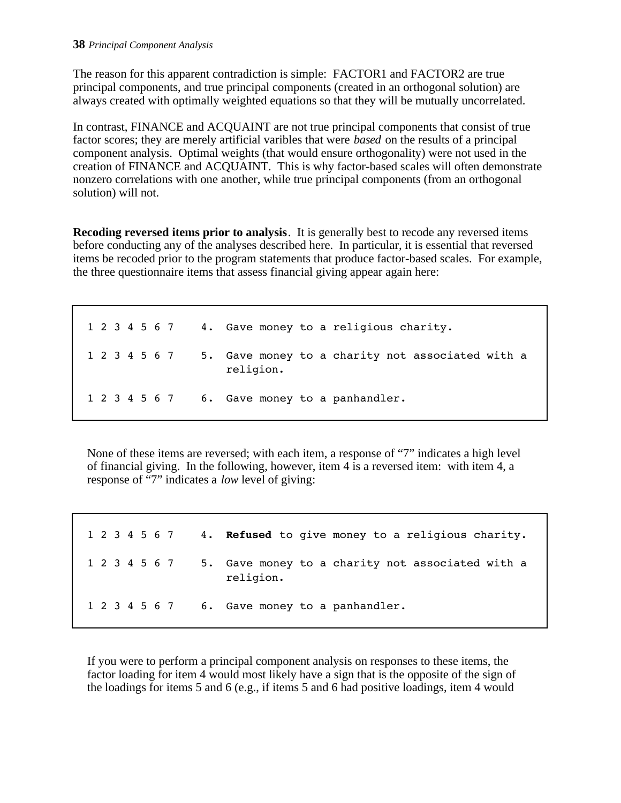The reason for this apparent contradiction is simple: FACTOR1 and FACTOR2 are true principal components, and true principal components (created in an orthogonal solution) are always created with optimally weighted equations so that they will be mutually uncorrelated.

In contrast, FINANCE and ACQUAINT are not true principal components that consist of true factor scores; they are merely artificial varibles that were *based* on the results of a principal component analysis. Optimal weights (that would ensure orthogonality) were not used in the creation of FINANCE and ACQUAINT. This is why factor-based scales will often demonstrate nonzero correlations with one another, while true principal components (from an orthogonal solution) will not.

**Recoding reversed items prior to analysis**. It is generally best to recode any reversed items before conducting any of the analyses described here. In particular, it is essential that reversed items be recoded prior to the program statements that produce factor-based scales. For example, the three questionnaire items that assess financial giving appear again here:

1 2 3 4 5 6 7 4. Gave money to a religious charity. 1 2 3 4 5 6 7 5. Gave money to a charity not associated with a religion. 1 2 3 4 5 6 7 6. Gave money to a panhandler.

None of these items are reversed; with each item, a response of "7" indicates a high level of financial giving. In the following, however, item 4 is a reversed item: with item 4, a response of "7" indicates a *low* level of giving:

```
1 2 3 4 5 6 7 4. Refused to give money to a religious charity.
1 2 3 4 5 6 7 5. Gave money to a charity not associated with a
                   religion.
1 2 3 4 5 6 7 6. Gave money to a panhandler.
```
If you were to perform a principal component analysis on responses to these items, the factor loading for item 4 would most likely have a sign that is the opposite of the sign of the loadings for items 5 and 6 (e.g., if items 5 and 6 had positive loadings, item 4 would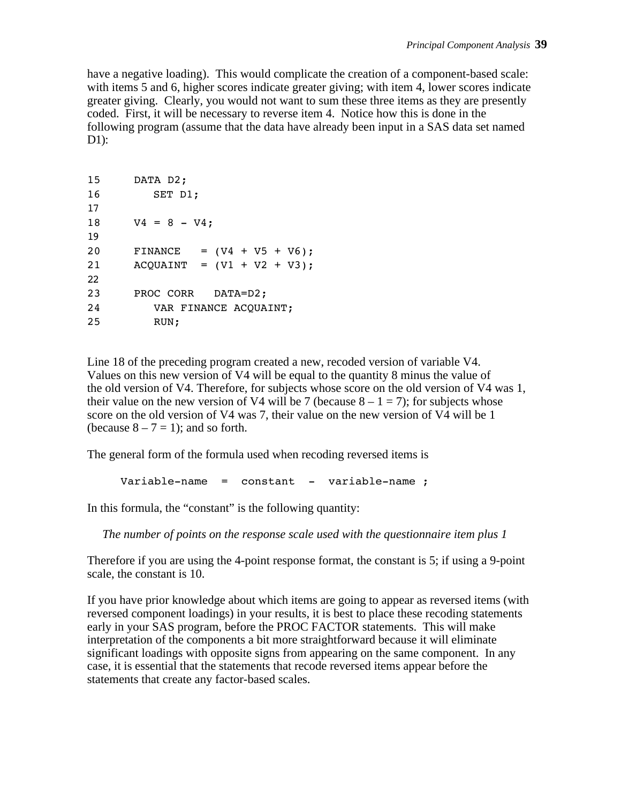have a negative loading). This would complicate the creation of a component-based scale: with items 5 and 6, higher scores indicate greater giving; with item 4, lower scores indicate greater giving. Clearly, you would not want to sum these three items as they are presently coded. First, it will be necessary to reverse item 4. Notice how this is done in the following program (assume that the data have already been input in a SAS data set named D1):

```
15 DATA D2;
16 SET D1;
17
18 V4 = 8 - V4;
19
20 FINANCE = (V4 + V5 + V6);
21 ACOUAINT = (V1 + V2 + V3);
22
23 PROC CORR DATA=D2;
24 VAR FINANCE ACOUAINT;
25 RUN;
```
Line 18 of the preceding program created a new, recoded version of variable V4. Values on this new version of V4 will be equal to the quantity 8 minus the value of the old version of V4. Therefore, for subjects whose score on the old version of V4 was 1, their value on the new version of V4 will be 7 (because  $8 - 1 = 7$ ); for subjects whose score on the old version of V4 was 7, their value on the new version of V4 will be 1 (because  $8 - 7 = 1$ ); and so forth.

The general form of the formula used when recoding reversed items is

 $Variable-name = constant - variable-name :$ 

In this formula, the "constant" is the following quantity:

 *The number of points on the response scale used with the questionnaire item plus 1* 

Therefore if you are using the 4-point response format, the constant is 5; if using a 9-point scale, the constant is 10.

If you have prior knowledge about which items are going to appear as reversed items (with reversed component loadings) in your results, it is best to place these recoding statements early in your SAS program, before the PROC FACTOR statements. This will make interpretation of the components a bit more straightforward because it will eliminate significant loadings with opposite signs from appearing on the same component. In any case, it is essential that the statements that recode reversed items appear before the statements that create any factor-based scales.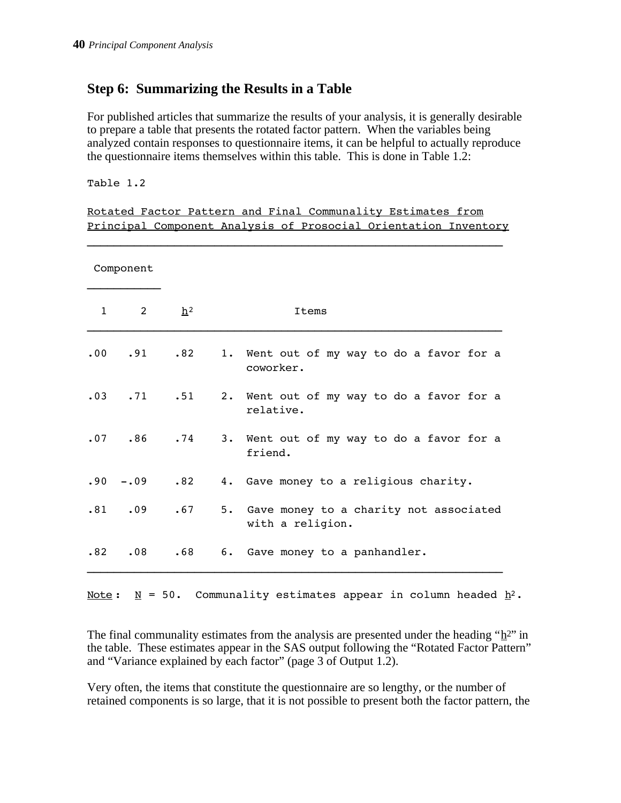### **Step 6: Summarizing the Results in a Table**

For published articles that summarize the results of your analysis, it is generally desirable to prepare a table that presents the rotated factor pattern. When the variables being analyzed contain responses to questionnaire items, it can be helpful to actually reproduce the questionnaire items themselves within this table. This is done in Table 1.2:

#### Table 1.2

|              |             |       |           | <u>Principal Component Analysis of Prosocial Orientation Inventory</u> |
|--------------|-------------|-------|-----------|------------------------------------------------------------------------|
|              | Component   |       |           |                                                                        |
| $\mathbf{1}$ | 2           | $h^2$ |           | Items                                                                  |
| .00          | .91         | .82   |           | 1. Went out of my way to do a favor for a<br>coworker.                 |
|              | $.03 - .71$ | .51   | $2 \cdot$ | Went out of my way to do a favor for a<br>relative.                    |
|              | $.07-.86$   | .74   |           | 3. Went out of my way to do a favor for a<br>friend.                   |
| .90          | $-.09$      | .82   |           | 4. Gave money to a religious charity.                                  |
|              | $.81-.09$   | .67   |           | 5. Gave money to a charity not associated<br>with a religion.          |
| .82          | .08         | .68   |           | 6. Gave money to a panhandler.                                         |
|              |             |       |           |                                                                        |

#### Rotated Factor Pattern and Final Communality Estimates from Principal Component Analysis of Prosocial Orientation Inventory

Note:  $N = 50$ . Communality estimates appear in column headed  $N^2$ .

The final communality estimates from the analysis are presented under the heading " $h^{2}$ " in the table. These estimates appear in the SAS output following the "Rotated Factor Pattern" and "Variance explained by each factor" (page 3 of Output 1.2).

Very often, the items that constitute the questionnaire are so lengthy, or the number of retained components is so large, that it is not possible to present both the factor pattern, the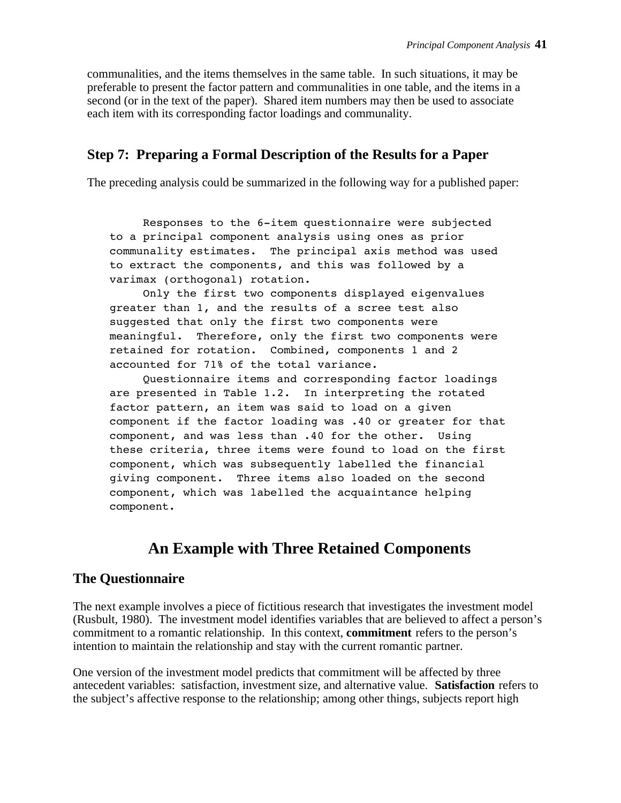communalities, and the items themselves in the same table. In such situations, it may be preferable to present the factor pattern and communalities in one table, and the items in a second (or in the text of the paper). Shared item numbers may then be used to associate each item with its corresponding factor loadings and communality.

### **Step 7: Preparing a Formal Description of the Results for a Paper**

The preceding analysis could be summarized in the following way for a published paper:

 Responses to the 6-item questionnaire were subjected to a principal component analysis using ones as prior communality estimates. The principal axis method was used to extract the components, and this was followed by a varimax (orthogonal) rotation.

 Only the first two components displayed eigenvalues greater than 1, and the results of a scree test also suggested that only the first two components were meaningful. Therefore, only the first two components were retained for rotation. Combined, components 1 and 2 accounted for 71% of the total variance.

 Questionnaire items and corresponding factor loadings are presented in Table 1.2. In interpreting the rotated factor pattern, an item was said to load on a given component if the factor loading was .40 or greater for that component, and was less than .40 for the other. Using these criteria, three items were found to load on the first component, which was subsequently labelled the financial giving component. Three items also loaded on the second component, which was labelled the acquaintance helping component.

### **An Example with Three Retained Components**

#### **The Questionnaire**

The next example involves a piece of fictitious research that investigates the investment model (Rusbult, 1980). The investment model identifies variables that are believed to affect a person's commitment to a romantic relationship. In this context, **commitment** refers to the person's intention to maintain the relationship and stay with the current romantic partner.

One version of the investment model predicts that commitment will be affected by three antecedent variables: satisfaction, investment size, and alternative value. **Satisfaction** refers to the subject's affective response to the relationship; among other things, subjects report high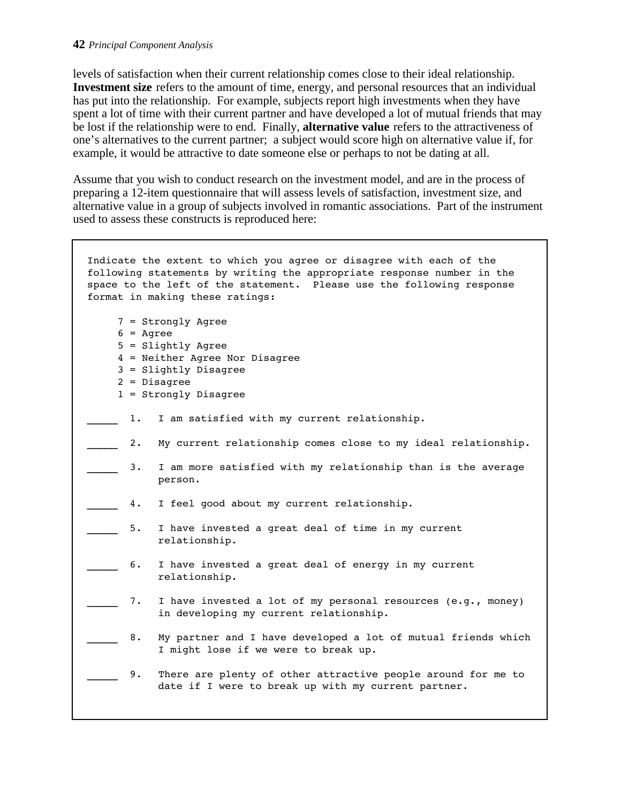#### **42** *Principal Component Analysis*

levels of satisfaction when their current relationship comes close to their ideal relationship. **Investment size** refers to the amount of time, energy, and personal resources that an individual has put into the relationship. For example, subjects report high investments when they have spent a lot of time with their current partner and have developed a lot of mutual friends that may be lost if the relationship were to end. Finally, **alternative value** refers to the attractiveness of one's alternatives to the current partner; a subject would score high on alternative value if, for example, it would be attractive to date someone else or perhaps to not be dating at all.

Assume that you wish to conduct research on the investment model, and are in the process of preparing a 12-item questionnaire that will assess levels of satisfaction, investment size, and alternative value in a group of subjects involved in romantic associations. Part of the instrument used to assess these constructs is reproduced here:

| Indicate the extent to which you agree or disagree with each of the<br>following statements by writing the appropriate response number in the<br>space to the left of the statement. Please use the following response<br>format in making these ratings: |
|-----------------------------------------------------------------------------------------------------------------------------------------------------------------------------------------------------------------------------------------------------------|
| 7 = Strongly Agree<br>$6 = \text{Agree}$<br>$5 = Slightly$ Agree<br>4 = Neither Agree Nor Disagree<br>$3 =$ Slightly Disagree<br>$2 = Disagree$<br>$1 =$ Strongly Disagree                                                                                |
| I am satisfied with my current relationship.                                                                                                                                                                                                              |
| My current relationship comes close to my ideal relationship.                                                                                                                                                                                             |
| I am more satisfied with my relationship than is the average<br>person.                                                                                                                                                                                   |
| I feel good about my current relationship.                                                                                                                                                                                                                |
| I have invested a great deal of time in my current<br>relationship.                                                                                                                                                                                       |
| I have invested a great deal of energy in my current<br>relationship.                                                                                                                                                                                     |
| I have invested a lot of my personal resources (e.g., money)<br>in developing my current relationship.                                                                                                                                                    |
| My partner and I have developed a lot of mutual friends which<br>I might lose if we were to break up.                                                                                                                                                     |
| There are plenty of other attractive people around for me to<br>date if I were to break up with my current partner.                                                                                                                                       |
|                                                                                                                                                                                                                                                           |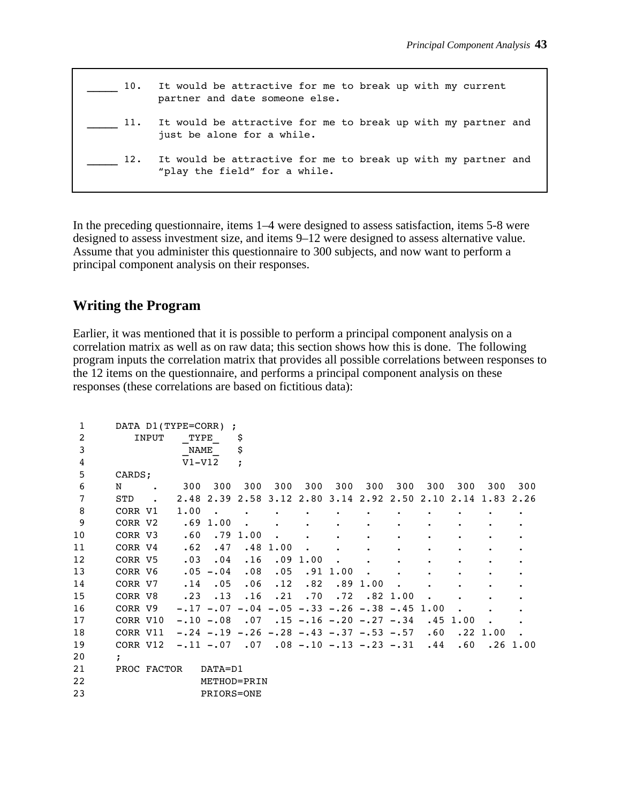| 10. | It would be attractive for me to break up with my current<br>partner and date someone else.    |
|-----|------------------------------------------------------------------------------------------------|
| 11. | It would be attractive for me to break up with my partner and<br>just be alone for a while.    |
| 12. | It would be attractive for me to break up with my partner and<br>"play the field" for a while. |

In the preceding questionnaire, items 1–4 were designed to assess satisfaction, items 5-8 were designed to assess investment size, and items 9–12 were designed to assess alternative value. Assume that you administer this questionnaire to 300 subjects, and now want to perform a principal component analysis on their responses.

### **Writing the Program**

Earlier, it was mentioned that it is possible to perform a principal component analysis on a correlation matrix as well as on raw data; this section shows how this is done. The following program inputs the correlation matrix that provides all possible correlations between responses to the 12 items on the questionnaire, and performs a principal component analysis on these responses (these correlations are based on fictitious data):

```
 1 DATA D1(TYPE=CORR) ;
2 INPUT TYPE $
3 NAME \$ 4 V1-V12 ;
 5 CARDS;
 6 N . 300 300 300 300 300 300 300 300 300 300 300 300
 7 STD . 2.48 2.39 2.58 3.12 2.80 3.14 2.92 2.50 2.10 2.14 1.83 2.26
8 CORR V1 1.00 . . . . . . . . .
9 CORR V2 .69 1.00 . . . . . .
10 CORR V3 .60 .79 1.00 . . . . .
11 CORR V4 .62 .47 .48 1.00 . . . .
12 CORR V5 .03 .04 .16 .09 1.00 . . . . . . .
13 CORR V6 .05 -.04 .08 .05 .91 1.00 . .
14 CORR V7 .14 .05 .06 .12 .82 .89 1.00 . . . . .
15 CORR V8 .23 .13 .16 .21 .70 .72 .82 1.00 .
16 CORR V9 -.17 -.07 -.04 -.05 -.33 -.26 -.38 -.45 1.00 .
17 CORR V10 -.10 -.08 .07 .15 -.16 -.20 -.27 -.34 .45 1.00 .
18 CORR V11 -.24 -.19 -.26 -.28 -.43 -.37 -.53 -.57 .60 .22 1.00 .
19 CORR V12 -.11 -.07 .07 .08 -.10 -.13 -.23 -.31 .44 .60 .26 1.00
20<sup>2</sup>21 PROC FACTOR DATA=D1
22 METHOD=PRIN
23 PRIORS=ONE
```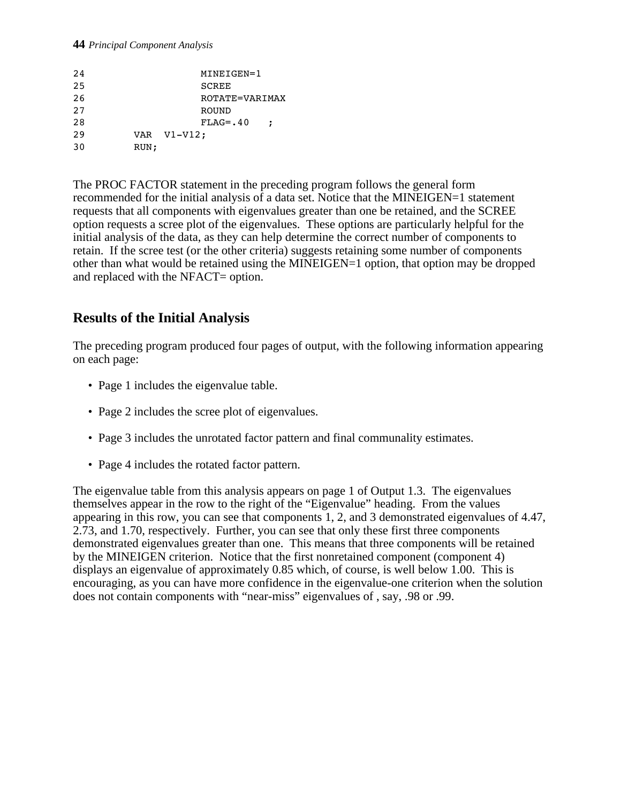| 24 |      | MINEIGEN=1     |   |
|----|------|----------------|---|
| 25 |      | <b>SCREE</b>   |   |
| 26 |      | ROTATE=VARIMAX |   |
| 27 |      | ROUND          |   |
| 28 |      | $FLAG = .40$   | : |
| 29 |      | VAR V1-V12;    |   |
| 30 | RUN; |                |   |

The PROC FACTOR statement in the preceding program follows the general form recommended for the initial analysis of a data set. Notice that the MINEIGEN=1 statement requests that all components with eigenvalues greater than one be retained, and the SCREE option requests a scree plot of the eigenvalues. These options are particularly helpful for the initial analysis of the data, as they can help determine the correct number of components to retain. If the scree test (or the other criteria) suggests retaining some number of components other than what would be retained using the MINEIGEN=1 option, that option may be dropped and replaced with the NFACT= option.

### **Results of the Initial Analysis**

The preceding program produced four pages of output, with the following information appearing on each page:

- Page 1 includes the eigenvalue table.
- Page 2 includes the scree plot of eigenvalues.
- Page 3 includes the unrotated factor pattern and final communality estimates.
- Page 4 includes the rotated factor pattern.

The eigenvalue table from this analysis appears on page 1 of Output 1.3. The eigenvalues themselves appear in the row to the right of the "Eigenvalue" heading. From the values appearing in this row, you can see that components 1, 2, and 3 demonstrated eigenvalues of 4.47, 2.73, and 1.70, respectively. Further, you can see that only these first three components demonstrated eigenvalues greater than one. This means that three components will be retained by the MINEIGEN criterion. Notice that the first nonretained component (component 4) displays an eigenvalue of approximately 0.85 which, of course, is well below 1.00. This is encouraging, as you can have more confidence in the eigenvalue-one criterion when the solution does not contain components with "near-miss" eigenvalues of , say, .98 or .99.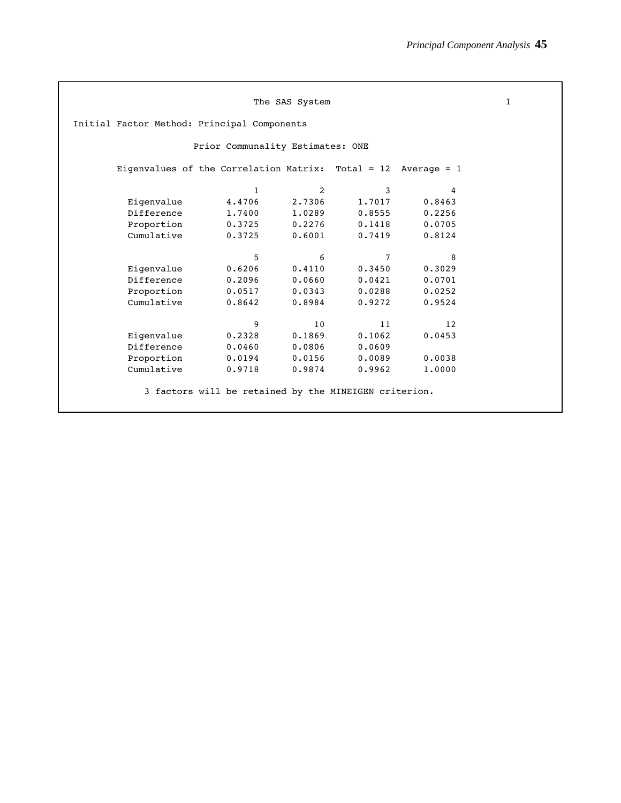| Initial Factor Method: Principal Components                   |                                  |                 |        |        |  |
|---------------------------------------------------------------|----------------------------------|-----------------|--------|--------|--|
|                                                               | Prior Communality Estimates: ONE |                 |        |        |  |
| Eigenvalues of the Correlation Matrix: Total = 12 Average = 1 |                                  |                 |        |        |  |
|                                                               | $\mathbf{1}$                     | 2               | 3      | 4      |  |
| Eigenvalue                                                    | 4.4706                           | 2.7306          | 1.7017 | 0.8463 |  |
| Difference                                                    | 1,7400                           | 1.0289          | 0.8555 | 0.2256 |  |
| Proportion                                                    | 0.3725                           | 0.2276          | 0.1418 | 0.0705 |  |
| Cumulative                                                    | 0.3725                           | 0.6001          | 0.7419 | 0.8124 |  |
|                                                               | 5                                | 6               | 7      | 8      |  |
| Eigenvalue                                                    | 0.6206                           | 0.4110          | 0.3450 | 0.3029 |  |
| Difference                                                    | 0.2096                           | 0.0660          | 0.0421 | 0.0701 |  |
| Proportion                                                    | 0.0517                           | 0.0343          | 0.0288 | 0.0252 |  |
| Cumulative                                                    | 0.8642                           | 0.8984          | 0.9272 | 0.9524 |  |
|                                                               | 9                                | 10 <sup>°</sup> | 11     | 12     |  |
| Eigenvalue                                                    | 0.2328                           | 0.1869          | 0.1062 | 0.0453 |  |
| Difference                                                    | 0.0460                           | 0.0806          | 0.0609 |        |  |
| Proportion                                                    | 0.0194                           | 0.0156          | 0.0089 | 0.0038 |  |
| Cumulative                                                    | 0.9718                           | 0.9874          | 0.9962 | 1,0000 |  |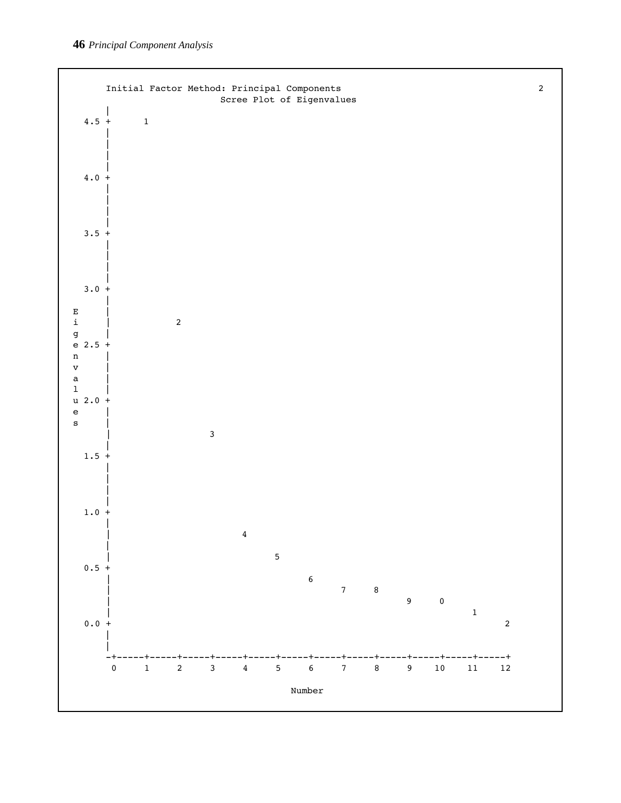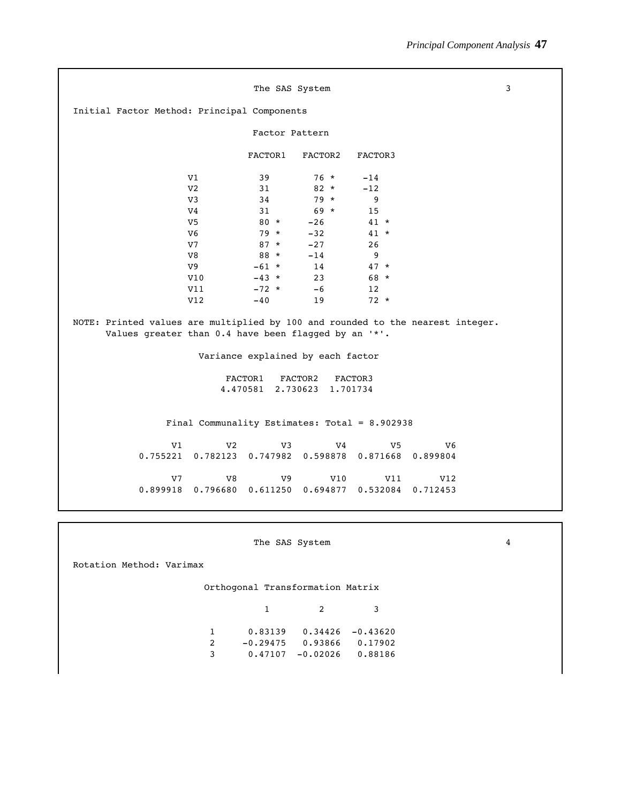|                                                                                | The SAS System                                   |          |          |          | 3 |
|--------------------------------------------------------------------------------|--------------------------------------------------|----------|----------|----------|---|
| Initial Factor Method: Principal Components                                    |                                                  |          |          |          |   |
|                                                                                | Factor Pattern                                   |          |          |          |   |
|                                                                                | FACTOR1                                          | FACTOR2  | FACTOR3  |          |   |
| V1                                                                             | 39                                               | $76*$    | $-14$    |          |   |
| V <sub>2</sub>                                                                 | 31                                               | $82 *$   | $-12$    |          |   |
| V <sub>3</sub>                                                                 | 34                                               | 79 *     | 9        |          |   |
| V <sub>4</sub>                                                                 | 31                                               | $69 *$   | 15       |          |   |
| V5                                                                             | $80*$                                            | $-26$    | $41 *$   |          |   |
| V <sub>6</sub>                                                                 | 79 *                                             | $-32$    | $41 *$   |          |   |
| V <sub>7</sub>                                                                 | $87 *$                                           | $-27$    | 26       |          |   |
| V8                                                                             | 88 *                                             | $-14$    | 9        |          |   |
| V9                                                                             | $-61$ *                                          | 14       | $47 *$   |          |   |
| V10                                                                            | $-43$ *                                          | 23       | 68 *     |          |   |
| V11                                                                            | $-72$ *                                          | $-6$     | 12       |          |   |
| V12                                                                            | $-40$                                            | 19       | $72 *$   |          |   |
|                                                                                |                                                  |          |          |          |   |
| NOTE: Printed values are multiplied by 100 and rounded to the nearest integer. |                                                  |          |          |          |   |
| Values greater than 0.4 have been flagged by an '*'.                           |                                                  |          |          |          |   |
|                                                                                |                                                  |          |          |          |   |
|                                                                                | Variance explained by each factor                |          |          |          |   |
|                                                                                |                                                  |          |          |          |   |
|                                                                                | FACTOR1                                          | FACTOR2  | FACTOR3  |          |   |
|                                                                                | 4.470581 2.730623 1.701734                       |          |          |          |   |
|                                                                                |                                                  |          |          |          |   |
|                                                                                | Final Communality Estimates: Total = 8.902938    |          |          |          |   |
|                                                                                |                                                  |          |          |          |   |
| V1                                                                             | V <sub>2</sub><br>V3                             | V4       | V5       | V6       |   |
| 0.755221                                                                       | 0.782123  0.747982  0.598878  0.871668  0.899804 |          |          |          |   |
|                                                                                |                                                  |          |          |          |   |
| V7                                                                             | V8<br>V9                                         | V10      | V11      | V12      |   |
| 0.899918                                                                       | 0.796680<br>0.611250                             | 0.694877 | 0.532084 | 0.712453 |   |
|                                                                                |                                                  |          |          |          |   |

The SAS System 4

Rotation Method: Varimax

Orthogonal Transformation Matrix

 1 2 3 1 0.83139 0.34426 -0.43620 2 -0.29475 0.93866 0.17902 3 0.47107 -0.02026 0.88186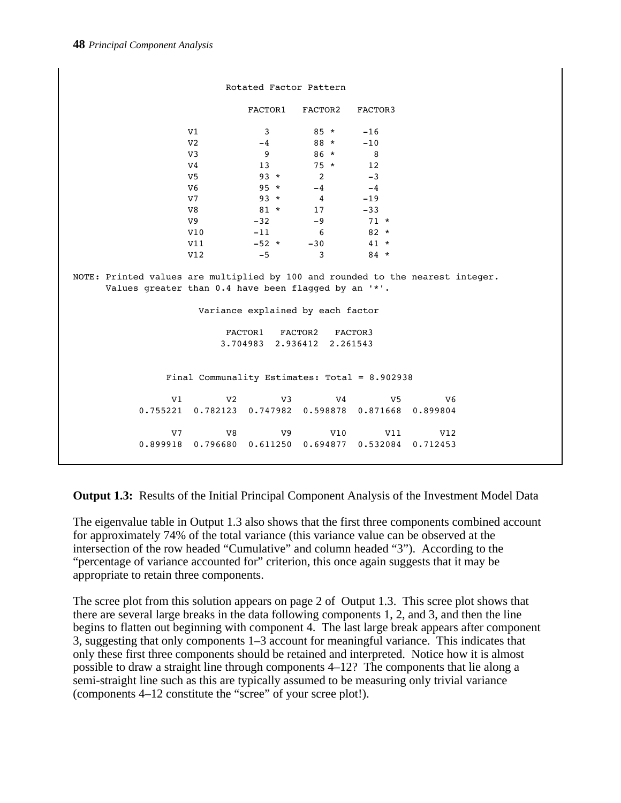|                                                                                                                                        |                | Rotated Factor Pattern                |                |                                                  |          |  |
|----------------------------------------------------------------------------------------------------------------------------------------|----------------|---------------------------------------|----------------|--------------------------------------------------|----------|--|
|                                                                                                                                        |                | FACTOR1                               | FACTOR2        | FACTOR3                                          |          |  |
|                                                                                                                                        | V1             | 3                                     | $85 *$         | $-16$                                            |          |  |
|                                                                                                                                        | V <sub>2</sub> | $-4$                                  | 88 *           | $-10$                                            |          |  |
|                                                                                                                                        | V3             | - 9                                   | $86 *$         | $_{\rm 8}$                                       |          |  |
|                                                                                                                                        | V <sub>4</sub> | 13                                    | $75 *$         | 12                                               |          |  |
|                                                                                                                                        | V <sub>5</sub> | $93 *$                                | $\overline{2}$ | $-3$                                             |          |  |
|                                                                                                                                        | V <sub>6</sub> | $95 *$                                | $-4$           | $-4$                                             |          |  |
|                                                                                                                                        | V <sub>7</sub> | $93 *$                                | $\overline{4}$ | $-19$                                            |          |  |
|                                                                                                                                        | V8             | $81 *$                                | 17             | $-33$                                            |          |  |
|                                                                                                                                        | V9             | $-32$                                 | $-9$           | $71 *$                                           |          |  |
|                                                                                                                                        | V10            | $-11$                                 | 6              | $82 *$                                           |          |  |
|                                                                                                                                        | V11            | $-52$ *                               | $-30$          | $41 *$                                           |          |  |
|                                                                                                                                        | V12            | $-5$                                  | 3              | $84 *$                                           |          |  |
| NOTE: Printed values are multiplied by 100 and rounded to the nearest integer.<br>Values greater than 0.4 have been flagged by an '*'. |                |                                       |                |                                                  |          |  |
|                                                                                                                                        |                | Variance explained by each factor     |                |                                                  |          |  |
|                                                                                                                                        |                | FACTOR1<br>3.704983 2.936412 2.261543 | FACTOR2        | FACTOR3                                          |          |  |
|                                                                                                                                        |                |                                       |                | Final Communality Estimates: Total = 8.902938    |          |  |
| V1                                                                                                                                     | V <sub>2</sub> | V3                                    | $\nabla 4$     | V5                                               | V6       |  |
| 0.755221                                                                                                                               |                |                                       |                | 0.782123  0.747982  0.598878  0.871668  0.899804 |          |  |
|                                                                                                                                        |                |                                       |                |                                                  |          |  |
| V <sub>7</sub>                                                                                                                         | V8             | V9                                    | V10            | V11                                              | V12      |  |
| 0.899918                                                                                                                               |                | 0.796680 0.611250 0.694877            |                | 0.532084                                         | 0.712453 |  |
|                                                                                                                                        |                |                                       |                |                                                  |          |  |

**Output 1.3:** Results of the Initial Principal Component Analysis of the Investment Model Data

The eigenvalue table in Output 1.3 also shows that the first three components combined account for approximately 74% of the total variance (this variance value can be observed at the intersection of the row headed "Cumulative" and column headed "3"). According to the "percentage of variance accounted for" criterion, this once again suggests that it may be appropriate to retain three components.

The scree plot from this solution appears on page 2 of Output 1.3. This scree plot shows that there are several large breaks in the data following components 1, 2, and 3, and then the line begins to flatten out beginning with component 4. The last large break appears after component 3, suggesting that only components 1–3 account for meaningful variance. This indicates that only these first three components should be retained and interpreted. Notice how it is almost possible to draw a straight line through components 4–12? The components that lie along a semi-straight line such as this are typically assumed to be measuring only trivial variance (components 4–12 constitute the "scree" of your scree plot!).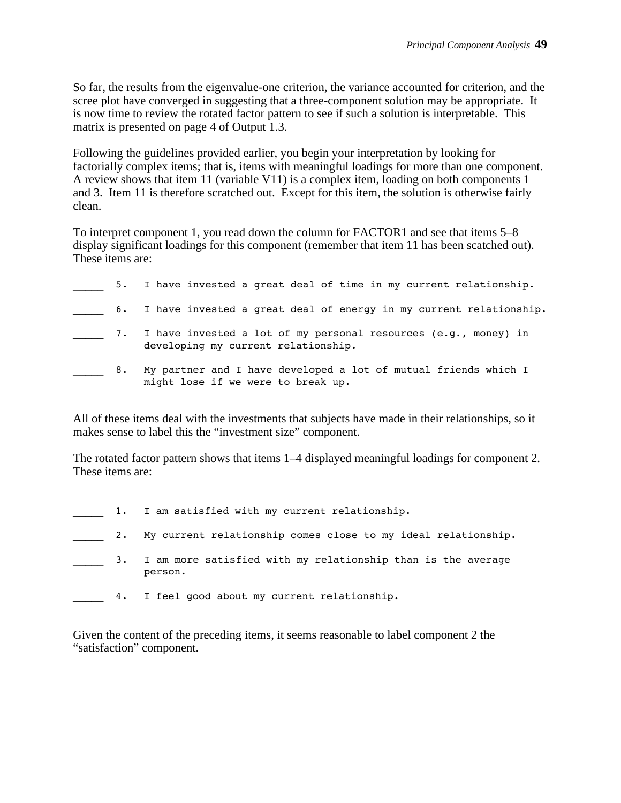So far, the results from the eigenvalue-one criterion, the variance accounted for criterion, and the scree plot have converged in suggesting that a three-component solution may be appropriate. It is now time to review the rotated factor pattern to see if such a solution is interpretable. This matrix is presented on page 4 of Output 1.3.

Following the guidelines provided earlier, you begin your interpretation by looking for factorially complex items; that is, items with meaningful loadings for more than one component. A review shows that item 11 (variable V11) is a complex item, loading on both components 1 and 3. Item 11 is therefore scratched out. Except for this item, the solution is otherwise fairly clean.

To interpret component 1, you read down the column for FACTOR1 and see that items 5–8 display significant loadings for this component (remember that item 11 has been scatched out). These items are:

|    | 5. I have invested a great deal of time in my current relationship.                                       |
|----|-----------------------------------------------------------------------------------------------------------|
|    | 6. I have invested a great deal of energy in my current relationship.                                     |
|    | 7. I have invested a lot of my personal resources (e.g., money) in<br>developing my current relationship. |
| 8. | My partner and I have developed a lot of mutual friends which I<br>might lose if we were to break up.     |

All of these items deal with the investments that subjects have made in their relationships, so it makes sense to label this the "investment size" component.

The rotated factor pattern shows that items 1–4 displayed meaningful loadings for component 2. These items are:

|    | 1. I am satisfied with my current relationship.                         |
|----|-------------------------------------------------------------------------|
| 2. | My current relationship comes close to my ideal relationship.           |
|    | I am more satisfied with my relationship than is the average<br>person. |
| 4. | I feel good about my current relationship.                              |

Given the content of the preceding items, it seems reasonable to label component 2 the "satisfaction" component.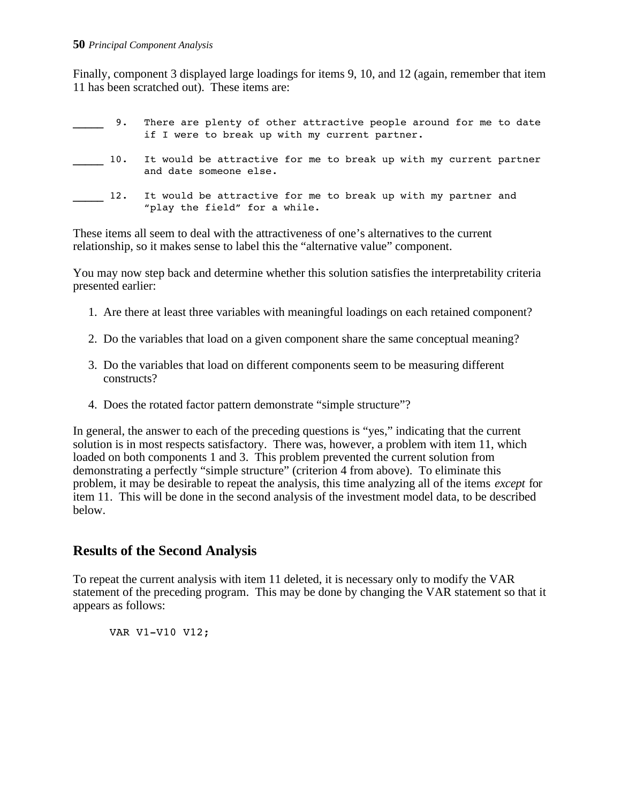Finally, component 3 displayed large loadings for items 9, 10, and 12 (again, remember that item 11 has been scratched out). These items are:

| 9.  | There are plenty of other attractive people around for me to date<br>if I were to break up with my current partner. |
|-----|---------------------------------------------------------------------------------------------------------------------|
| 10. | It would be attractive for me to break up with my current partner<br>and date someone else.                         |
| 12. | It would be attractive for me to break up with my partner and<br>"play the field" for a while.                      |

These items all seem to deal with the attractiveness of one's alternatives to the current relationship, so it makes sense to label this the "alternative value" component.

You may now step back and determine whether this solution satisfies the interpretability criteria presented earlier:

- 1. Are there at least three variables with meaningful loadings on each retained component?
- 2. Do the variables that load on a given component share the same conceptual meaning?
- 3. Do the variables that load on different components seem to be measuring different constructs?
- 4. Does the rotated factor pattern demonstrate "simple structure"?

In general, the answer to each of the preceding questions is "yes," indicating that the current solution is in most respects satisfactory. There was, however, a problem with item 11, which loaded on both components 1 and 3. This problem prevented the current solution from demonstrating a perfectly "simple structure" (criterion 4 from above). To eliminate this problem, it may be desirable to repeat the analysis, this time analyzing all of the items *except* for item 11. This will be done in the second analysis of the investment model data, to be described below.

### **Results of the Second Analysis**

To repeat the current analysis with item 11 deleted, it is necessary only to modify the VAR statement of the preceding program. This may be done by changing the VAR statement so that it appears as follows:

VAR V1-V10 V12;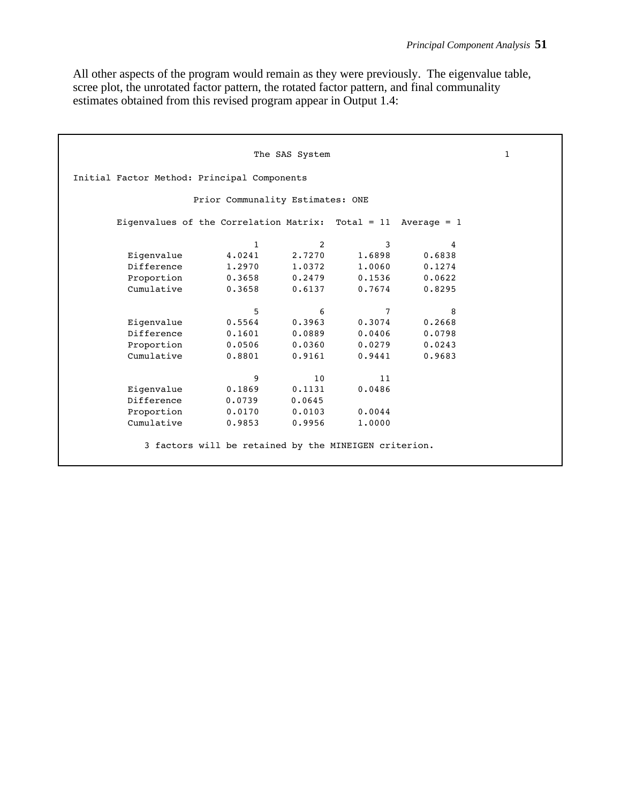All other aspects of the program would remain as they were previously. The eigenvalue table, scree plot, the unrotated factor pattern, the rotated factor pattern, and final communality estimates obtained from this revised program appear in Output 1.4:

|                                             |                                                               | The SAS System  |                |        |
|---------------------------------------------|---------------------------------------------------------------|-----------------|----------------|--------|
| Initial Factor Method: Principal Components |                                                               |                 |                |        |
|                                             | Prior Communality Estimates: ONE                              |                 |                |        |
|                                             | Eigenvalues of the Correlation Matrix: Total = 11 Average = 1 |                 |                |        |
|                                             | $\mathbf{1}$                                                  | 2               | 3              | 4      |
| Eigenvalue                                  | 4.0241                                                        | 2,7270          | 1.6898         | 0.6838 |
| Difference                                  | 1,2970                                                        | 1.0372          | 1.0060         | 0.1274 |
| Proportion                                  | 0.3658                                                        | 0.2479          | 0.1536         | 0.0622 |
| Cumulative                                  | 0.3658                                                        | 0.6137          | 0.7674         | 0.8295 |
|                                             | 5                                                             | 6               | $\overline{7}$ | 8      |
| Eigenvalue                                  | 0.5564                                                        | 0.3963          | 0.3074         | 0.2668 |
| Difference                                  | 0.1601                                                        | 0.0889          | 0.0406         | 0.0798 |
| Proportion                                  | 0.0506                                                        | 0.0360          | 0.0279         | 0.0243 |
| Cumulative                                  | 0.8801                                                        | 0.9161          | 0.9441         | 0.9683 |
|                                             | 9                                                             | 10 <sup>°</sup> | 11             |        |
| Eigenvalue                                  | 0.1869                                                        | 0.1131          | 0.0486         |        |
| Difference                                  | 0.0739                                                        | 0.0645          |                |        |
| Proportion                                  | 0.0170                                                        | 0.0103          | 0.0044         |        |
| Cumulative                                  | 0.9853                                                        | 0.9956          | 1.0000         |        |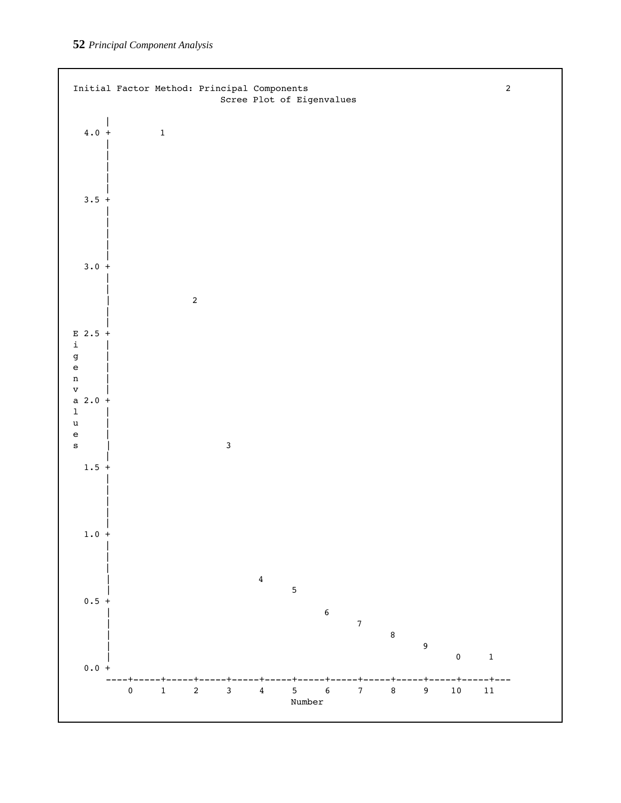

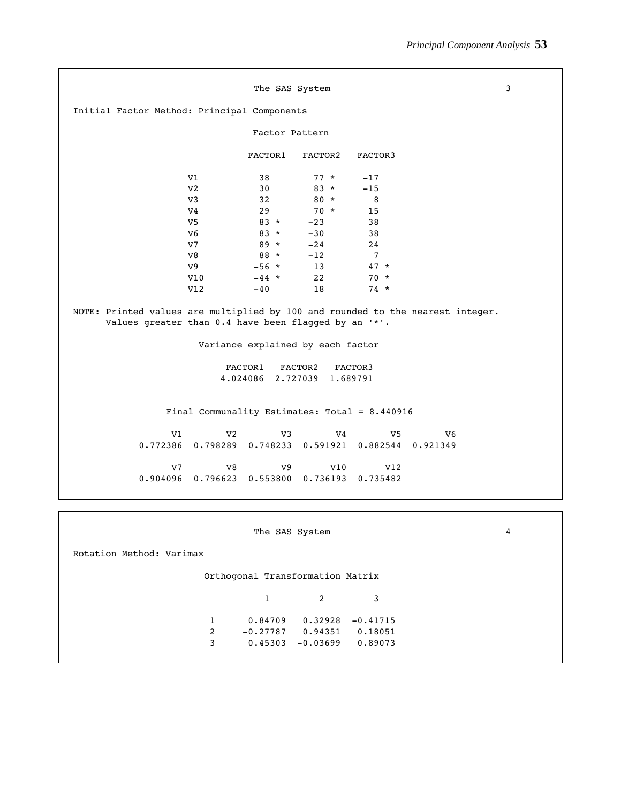| The SAS System<br>Initial Factor Method: Principal Components                                                                                                               |                                                  |                |                   |    |  |  |  |  |
|-----------------------------------------------------------------------------------------------------------------------------------------------------------------------------|--------------------------------------------------|----------------|-------------------|----|--|--|--|--|
|                                                                                                                                                                             |                                                  |                |                   |    |  |  |  |  |
|                                                                                                                                                                             | Factor Pattern                                   |                |                   |    |  |  |  |  |
| FACTOR1<br>FACTOR2<br>FACTOR3                                                                                                                                               |                                                  |                |                   |    |  |  |  |  |
| V1                                                                                                                                                                          | 38                                               | $77 *$         | $-17$             |    |  |  |  |  |
| V <sub>2</sub>                                                                                                                                                              | 30                                               | $83 *$         | $-15$             |    |  |  |  |  |
| V3                                                                                                                                                                          | 32                                               | $80 *$         | 8                 |    |  |  |  |  |
| V4                                                                                                                                                                          | 29                                               | $70*$          | 15                |    |  |  |  |  |
| V <sub>5</sub>                                                                                                                                                              | $83 *$                                           | $-23$          | 38                |    |  |  |  |  |
| V <sub>6</sub>                                                                                                                                                              | $83 *$                                           | $-30$          | 38                |    |  |  |  |  |
| V7                                                                                                                                                                          | $89 *$                                           | $-24$          | 24                |    |  |  |  |  |
| V8                                                                                                                                                                          | 88 *                                             | $-12$          | $\overline{7}$    |    |  |  |  |  |
| V9                                                                                                                                                                          | $-56$ *                                          | 13             | $47 *$            |    |  |  |  |  |
| V10                                                                                                                                                                         | $-44$ *                                          | 22             | $70 *$            |    |  |  |  |  |
| V12                                                                                                                                                                         | $-40$                                            | 18             | $74 *$            |    |  |  |  |  |
| NOTE: Printed values are multiplied by 100 and rounded to the nearest integer.<br>Values greater than 0.4 have been flagged by an '*'.<br>Variance explained by each factor |                                                  |                |                   |    |  |  |  |  |
|                                                                                                                                                                             |                                                  |                |                   |    |  |  |  |  |
| FACTOR1<br>FACTOR2<br>FACTOR3<br>4.024086 2.727039<br>1.689791                                                                                                              |                                                  |                |                   |    |  |  |  |  |
| Final Communality Estimates: Total = $8.440916$                                                                                                                             |                                                  |                |                   |    |  |  |  |  |
| V1                                                                                                                                                                          | V <sub>2</sub><br>V3                             | V <sub>4</sub> | V <sub>5</sub>    | V6 |  |  |  |  |
| 0.772386                                                                                                                                                                    | 0.798289  0.748233  0.591921  0.882544  0.921349 |                |                   |    |  |  |  |  |
| V7                                                                                                                                                                          | V8<br>V9                                         | V10            | V12               |    |  |  |  |  |
| 0.904096                                                                                                                                                                    | 0.796623 0.553800                                |                | 0.736193 0.735482 |    |  |  |  |  |
|                                                                                                                                                                             |                                                  |                |                   |    |  |  |  |  |

|                                  | 4            |                            |                    |  |  |  |  |  |
|----------------------------------|--------------|----------------------------|--------------------|--|--|--|--|--|
| Rotation Method: Varimax         |              |                            |                    |  |  |  |  |  |
| Orthogonal Transformation Matrix |              |                            |                    |  |  |  |  |  |
|                                  | $\mathbf{1}$ | 2                          | 3                  |  |  |  |  |  |
| 1                                |              | $0.84709$ $0.32928$        | $-0.41715$         |  |  |  |  |  |
| $\overline{2}$                   |              | $-0.27787$ 0.94351 0.18051 |                    |  |  |  |  |  |
| 3                                | 0.45303      |                            | $-0.03699$ 0.89073 |  |  |  |  |  |
|                                  |              |                            |                    |  |  |  |  |  |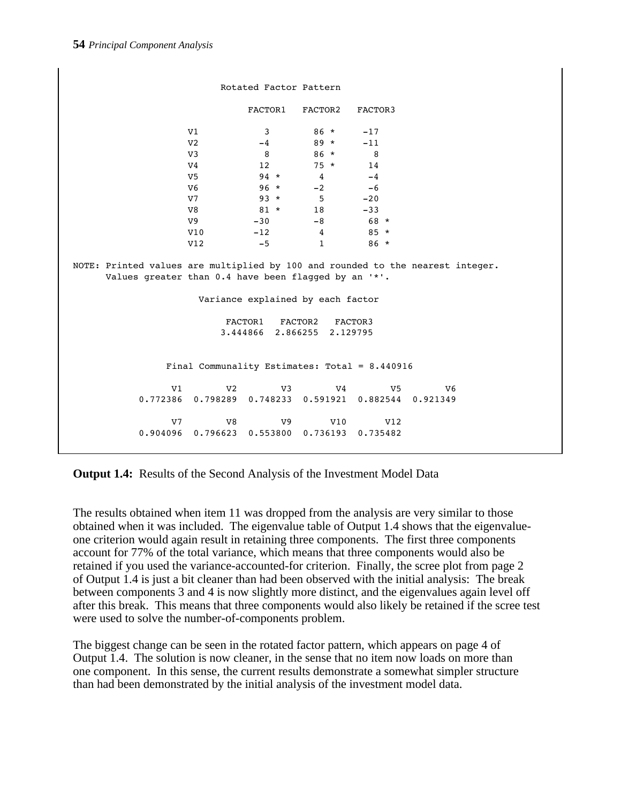| Rotated Factor Pattern                                                                                                                                                      |                            |                |                |                   |          |  |  |
|-----------------------------------------------------------------------------------------------------------------------------------------------------------------------------|----------------------------|----------------|----------------|-------------------|----------|--|--|
|                                                                                                                                                                             |                            | FACTOR1        | FACTOR2        | FACTOR3           |          |  |  |
|                                                                                                                                                                             | V1                         | 3              | $86 *$         | $-17$             |          |  |  |
|                                                                                                                                                                             | V <sub>2</sub>             | $-4$           | $89 *$         | $-11$             |          |  |  |
|                                                                                                                                                                             | V <sub>3</sub>             | 8 <sup>8</sup> | $86 *$         | 8                 |          |  |  |
|                                                                                                                                                                             | V4                         | 12             | $75 *$         | 14                |          |  |  |
|                                                                                                                                                                             | V5                         | $94 *$         | $\overline{4}$ | $-4$              |          |  |  |
|                                                                                                                                                                             | V6                         | $96 *$         | $-2$           | $-6$              |          |  |  |
|                                                                                                                                                                             | V <sub>7</sub>             | $93 *$         | $5^{\circ}$    | $-20$             |          |  |  |
|                                                                                                                                                                             | V8                         | $81 *$         | 18             | $-33$             |          |  |  |
|                                                                                                                                                                             | V9                         | $-30$          | $-8$           | $68*$             |          |  |  |
|                                                                                                                                                                             | V10                        | $-12$          | $\overline{4}$ | $85 *$            |          |  |  |
|                                                                                                                                                                             | V12                        | $-5$           | $\mathbf{1}$   | $86*$             |          |  |  |
| NOTE: Printed values are multiplied by 100 and rounded to the nearest integer.<br>Values greater than 0.4 have been flagged by an '*'.<br>Variance explained by each factor |                            |                |                |                   |          |  |  |
| FACTOR1 FACTOR2 FACTOR3<br>3.444866<br>2.866255 2.129795                                                                                                                    |                            |                |                |                   |          |  |  |
| Final Communality Estimates: Total = 8.440916                                                                                                                               |                            |                |                |                   |          |  |  |
| V1                                                                                                                                                                          | V <sub>2</sub>             | V3             | V4             | V5                | V6       |  |  |
|                                                                                                                                                                             | 0.772386 0.798289 0.748233 |                |                | 0.591921 0.882544 | 0.921349 |  |  |
| V <sub>7</sub>                                                                                                                                                              | V8                         | V9             | V10            | V12               |          |  |  |
| 0.904096                                                                                                                                                                    | 0.796623 0.553800          |                |                | 0.736193 0.735482 |          |  |  |

**Output 1.4:** Results of the Second Analysis of the Investment Model Data

The results obtained when item 11 was dropped from the analysis are very similar to those obtained when it was included. The eigenvalue table of Output 1.4 shows that the eigenvalueone criterion would again result in retaining three components. The first three components account for 77% of the total variance, which means that three components would also be retained if you used the variance-accounted-for criterion. Finally, the scree plot from page 2 of Output 1.4 is just a bit cleaner than had been observed with the initial analysis: The break between components 3 and 4 is now slightly more distinct, and the eigenvalues again level off after this break. This means that three components would also likely be retained if the scree test were used to solve the number-of-components problem.

The biggest change can be seen in the rotated factor pattern, which appears on page 4 of Output 1.4. The solution is now cleaner, in the sense that no item now loads on more than one component. In this sense, the current results demonstrate a somewhat simpler structure than had been demonstrated by the initial analysis of the investment model data.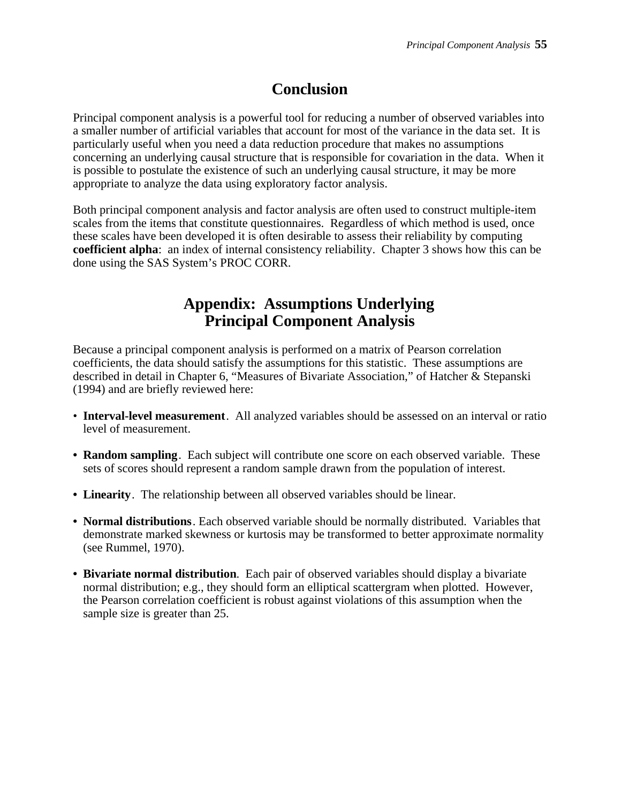## **Conclusion**

Principal component analysis is a powerful tool for reducing a number of observed variables into a smaller number of artificial variables that account for most of the variance in the data set. It is particularly useful when you need a data reduction procedure that makes no assumptions concerning an underlying causal structure that is responsible for covariation in the data. When it is possible to postulate the existence of such an underlying causal structure, it may be more appropriate to analyze the data using exploratory factor analysis.

Both principal component analysis and factor analysis are often used to construct multiple-item scales from the items that constitute questionnaires. Regardless of which method is used, once these scales have been developed it is often desirable to assess their reliability by computing **coefficient alpha**: an index of internal consistency reliability. Chapter 3 shows how this can be done using the SAS System's PROC CORR.

## **Appendix: Assumptions Underlying Principal Component Analysis**

Because a principal component analysis is performed on a matrix of Pearson correlation coefficients, the data should satisfy the assumptions for this statistic. These assumptions are described in detail in Chapter 6, "Measures of Bivariate Association," of Hatcher & Stepanski (1994) and are briefly reviewed here:

- **Interval-level measurement**. All analyzed variables should be assessed on an interval or ratio level of measurement.
- **Random sampling**. Each subject will contribute one score on each observed variable. These sets of scores should represent a random sample drawn from the population of interest.
- **Linearity**. The relationship between all observed variables should be linear.
- **Normal distributions**. Each observed variable should be normally distributed. Variables that demonstrate marked skewness or kurtosis may be transformed to better approximate normality (see Rummel, 1970).
- **Bivariate normal distribution**. Each pair of observed variables should display a bivariate normal distribution; e.g., they should form an elliptical scattergram when plotted. However, the Pearson correlation coefficient is robust against violations of this assumption when the sample size is greater than 25.